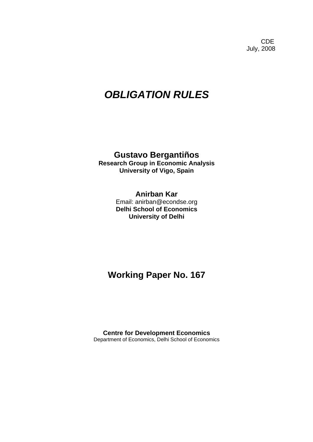**CDE COLLECTION** July, 2008

# *OBLIGATION RULES*

# **Gustavo Bergantiños**

**Research Group in Economic Analysis University of Vigo, Spain** 

# **Anirban Kar**  Email: anirban@econdse.org **Delhi School of Economics University of Delhi**

# **Working Paper No. 167**

**Centre for Development Economics**  Department of Economics, Delhi School of Economics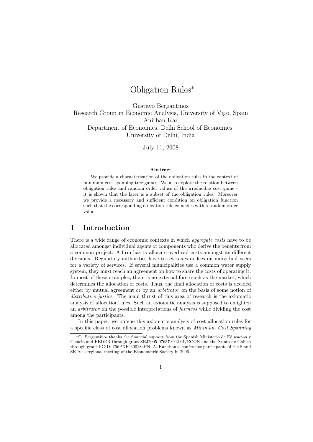# Obligation Rules<sup>∗</sup>

Gustavo Bergantiños Research Group in Economic Analysis, University of Vigo, Spain Anirban Kar Department of Economics, Delhi School of Economics, University of Delhi, India

July 11, 2008

#### Abstract

We provide a characterization of the obligation rules in the context of minimum cost spanning tree games. We also explore the relation between obligation rules and random order values of the irreducible cost game it is shown that the later is a subset of the obligation rules. Moreover we provide a necessary and sufficient condition on obligation function such that the corresponding obligation rule coincides with a random order value.

# 1 Introduction

There is a wide range of economic contexts in which *aggregate costs* have to be allocated amongst individual agents or components who derive the benefits from a common project. A firm has to allocate overhead costs amongst its different divisions. Regulatory authorities have to set taxes or fees on individual users for a variety of services. If several municipalities use a common water supply system, they must reach an agreement on how to share the costs of operating it. In most of these examples, there is no external force such as the market, which determines the allocation of costs. Thus, the final allocation of costs is decided either by mutual agreement or by an arbitrator on the basis of some notion of distributive justice. The main thrust of this area of research is the axiomatic analysis of allocation rules. Such an axiomatic analysis is supposed to enlighten an arbitrator on the possible interpretations of fairness while dividing the cost among the participants.

In this paper, we pursue this axiomatic analysis of cost allocation rules for a specific class of cost allocation problems known as Minimum Cost Spanning

<sup>\*</sup>G. Bergantiños thanks the financial support from the Spanish Ministerio de Educación y Ciencia and FEDER through grant SEJ2005-07637-C02-01/ECON and the Xunta de Galicia through grant PGIDIT06PXIC300184PN. A. Kar thanks conference participants of the S and SE Asia regional meeting of the Econometric Society in 2006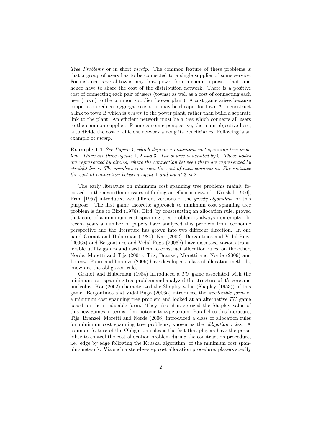Tree Problems or in short mcstp. The common feature of these problems is that a group of users has to be connected to a single supplier of some service. For instance, several towns may draw power from a common power plant, and hence have to share the cost of the distribution network. There is a positive cost of connecting each pair of users (towns) as well as a cost of connecting each user (town) to the common supplier (power plant). A cost game arises because cooperation reduces aggregate costs - it may be cheaper for town A to construct a link to town B which is nearer to the power plant, rather than build a separate link to the plant. An efficient network must be a tree which connects all users to the common supplier. From economic perspective, the main objective here, is to divide the cost of efficient network among its beneficiaries. Following is an example of mcstp.

Example 1.1 See Figure 1, which depicts a minimum cost spanning tree problem. There are three agents 1, 2 and 3. The source is denoted by 0. These nodes are represented by circles, where the connection between them are represented by straight lines. The numbers represent the cost of each connection. For instance the cost of connection between agent 1 and agent 3 is 2.

The early literature on minimum cost spanning tree problems mainly focussed on the algorithmic issues of finding an efficient network. Kruskal [1956], Prim [1957] introduced two different versions of the greedy algorithm for this purpose. The first game theoretic approach to minimum cost spanning tree problem is due to Bird (1976). Bird, by constructing an allocation rule, proved that core of a minimum cost spanning tree problem is always non-empty. In recent years a number of papers have analyzed this problem from economic perspective and the literature has grown into two different direction. In one hand Granot and Huberman (1984), Kar (2002), Bergantiños and Vidal-Puga  $(2006a)$  and Bergantiños and Vidal-Puga  $(2006b)$  have discussed various transferable utility games and used them to construct allocation rules, on the other, Norde, Moretti and Tijs (2004), Tijs, Branzei, Moretti and Norde (2006) and Lorenzo-Freire and Lorenzo (2006) have developed a class of allocation methods, known as the obligation rules.

Granot and Huberman  $(1984)$  introduced a TU game associated with the minimum cost spanning tree problem and analyzed the structure of it's core and nucleolus. Kar (2002) characterized the Shapley value (Shapley (1953)) of this game. Bergantiños and Vidal-Puga (2006a) introduced the *irreducible form* of a minimum cost spanning tree problem and looked at an alternative  $TU$  game based on the irreducible form. They also characterized the Shapley value of this new games in terms of monotonicity type axiom. Parallel to this literature, Tijs, Branzei, Moretti and Norde (2006) introduced a class of allocation rules for minimum cost spanning tree problems, known as the obligation rules. A common feature of the Obligation rules is the fact that players have the possibility to control the cost allocation problem during the construction procedure, i.e. edge by edge following the Kruskal algorithm, of the minimum cost spanning network. Via such a step-by-step cost allocation procedure, players specify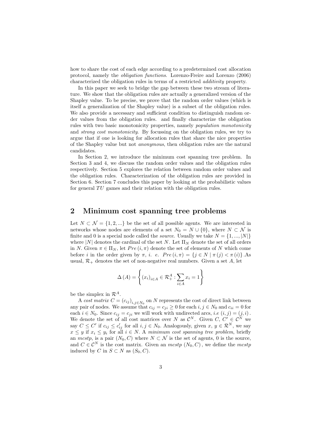how to share the cost of each edge according to a predetermined cost allocation protocol, namely the obligation functions. Lorenzo-Freire and Lorenzo (2006) characterized the obligation rules in terms of a restricted additivity property.

In this paper we seek to bridge the gap between these two stream of literature. We show that the obligation rules are actually a generalized version of the Shapley value. To be precise, we prove that the random order values (which is itself a generalization of the Shapley value) is a subset of the obligation rules. We also provide a necessary and sufficient condition to distinguish random order values from the obligation rules. and finally characterize the obligation rules with two basic monotonicity properties, namely population monotonicity and strong cost monotonicity. By focussing on the obligation rules, we try to argue that if one is looking for allocation rules that share the nice properties of the Shapley value but not anonymous, then obligation rules are the natural candidates.

In Section 2, we introduce the minimum cost spanning tree problem. In Section 3 and 4, we discuss the random order values and the obligation rules respectively. Section 5 explores the relation between random order values and the obligation rules. Characterization of the obligation rules are provided in Section 6. Section 7 concludes this paper by looking at the probabilistic values for general  $TU$  games and their relation with the obligation rules.

## 2 Minimum cost spanning tree problems

Let  $N \subset \mathcal{N} = \{1, 2, ...\}$  be the set of all possible agents. We are interested in networks whose nodes are elements of a set  $N_0 = N \cup \{0\}$ , where  $N \subset \mathcal{N}$  is finite and 0 is a special node called the *source*. Usually we take  $N = \{1, ..., |N|\}$ where  $|N|$  denotes the cardinal of the set N. Let  $\Pi_N$  denote the set of all orders in N. Given  $\pi \in \Pi_N$ , let  $Pre (i, \pi)$  denote the set of elements of N which come before i in the order given by  $\pi$ , i. e.  $Pre (i, \pi) = \{j \in N \mid \pi(j) < \pi(i)\}\.$ As usual,  $\mathcal{R}_+$  denotes the set of non-negative real numbers. Given a set A, let

$$
\Delta(A) = \left\{ (x_i)_{i \in A} \in \mathcal{R}_+^A : \sum_{i \in A} x_i = 1 \right\}
$$

be the simplex in  $\mathcal{R}^A$ .

A cost matrix  $C = (c_{ij})_{i,j \in N_0}$  on N represents the cost of direct link between any pair of nodes. We assume that  $c_{ij} = c_{ji} \geq 0$  for each  $i, j \in N_0$  and  $c_{ii} = 0$  for each  $i \in N_0$ . Since  $c_{ij} = c_{ji}$  we will work with undirected arcs, *i.e*  $(i, j) = (j, i)$ . We denote the set of all cost matrices over N as  $\mathcal{C}^N$ . Given  $C, C' \in \mathcal{C}^N$  we say  $C \leq C'$  if  $c_{ij} \leq c'_{ij}$  for all  $i, j \in N_0$ . Analogously, given  $x, y \in \mathcal{R}^N$ , we say  $x \leq y$  if  $x_i \leq y_i$  for all  $i \in N$ . A minimum cost spanning tree problem, briefly an mcstp, is a pair  $(N_0, C)$  where  $N \subset \mathcal{N}$  is the set of agents, 0 is the source, and  $C \in \mathcal{C}^N$  is the cost matrix. Given an  $mcstp(N_0, C)$ , we define the  $mcstp$ induced by C in  $S \subset N$  as  $(S_0, C)$ .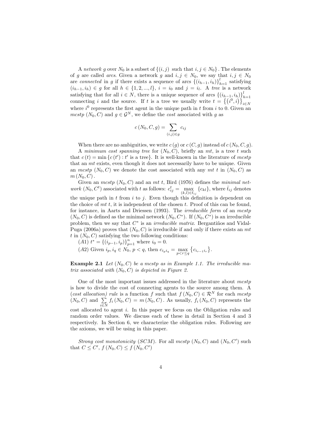A network g over  $N_0$  is a subset of  $\{(i, j)$  such that  $i, j \in N_0\}$ . The elements of g are called arcs. Given a network g and  $i, j \in N_0$ , we say that  $i, j \in N_0$ are *connected* in g if there exists a sequence of arcs  $\{(i_{h-1}, i_h)\}_{h=1}^l$  satisfying  $(i_{h-1}, i_h) \in g$  for all  $h \in \{1, 2, ..., l\}, i = i_0$  and  $j = i_l$ . A tree is a network satisfying that for all  $i \in N$ , there is a unique sequence of arcs  $\{(i_{h-1}, i_h)\}_{h=1}^l$ connecting i and the source. If t is a tree we usually write  $t = \{(i^0, i)\}_{i \in N}$ where  $i^0$  represents the first agent in the unique path in t from i to 0. Given an mcstp  $(N_0, C)$  and  $q \in \mathcal{G}^N$ , we define the cost associated with q as

$$
c(N_0, C, g) = \sum_{(i,j) \in g} c_{ij}
$$

When there are no ambiguities, we write  $c(g)$  or  $c(C, g)$  instead of  $c(N_0, C, g)$ .

A minimum cost spanning tree for  $(N_0, C)$ , briefly an mt, is a tree t such that  $c(t) = \min \{c(t'): t' \text{ is a tree}\}.$  It is well-known in the literature of mestp that an mt exists, even though it does not necessarily have to be unique. Given an mcstp  $(N_0, C)$  we denote the cost associated with any mt t in  $(N_0, C)$  as  $m(N_0, C)$ .

Given an  $mcstp(N_0, C)$  and an mt t, Bird (1976) defines the minimal network  $(N_0, C^t)$  associated with t as follows:  $c_{ij}^t = \max_{(k,l) \in \bar{t}_{ij}} \{c_{kl}\}$ , where  $\bar{t}_{ij}$  denotes the unique path in  $t$  from  $i$  to  $j$ . Even though this definition is dependent on the choice of  $m t$ , it is independent of the chosen  $t$ . Proof of this can be found, for instance, in Aarts and Driessen (1993). The *irreducible form* of an *mcstp*  $(N_0, C)$  is defined as the minimal network  $(N_0, C^*)$ . If  $(N_0, C^*)$  is an irreducible problem, then we say that  $C^*$  is an *irreducible matrix*. Bergantiños and Vidal-Puga (2006a) proves that  $(N_0, C)$  is irreducible if and only if there exists an mt t in  $(N_0, C)$  satisfying the two following conditions:

(A1)  $t^* = \{(i_{p-1}, i_p)\}_{p=1}^n$  where  $i_0 = 0$ .

(A2) Given  $i_p, i_q \in N_0$ ,  $p < q$ , then  $c_{i_p i_q} = \max_{p < r \le q} \{c_{i_{r-1} i_r}\}.$ 

**Example 2.1** Let  $(N_0, C)$  be a mastp as in Example 1.1. The irreducible matrix associated with  $(N_0, C)$  is depicted in Figure 2.

One of the most important issues addressed in the literature about  $mcstp$ is how to divide the cost of connecting agents to the source among them. A (cost allocation) rule is a function f such that  $f(N_0, C) \in \mathcal{R}^N$  for each mestp  $(N_0, C)$  and  $\sum_{i \in N} f_i(N_0, C) = m(N_0, C)$ . As usually,  $f_i(N_0, C)$  represents the cost allocated to agent i. In this paper we focus on the Obligation rules and random order values. We discuss each of these in detail in Section 4 and 3 respectively. In Section 6, we characterize the obligation rules. Following are the axioms, we will be using in this paper.

Strong cost monotonicity (SCM). For all mestp  $(N_0, C)$  and  $(N_0, C')$  such that  $C \leq C', f(N_0, C) \leq f(N_0, C')$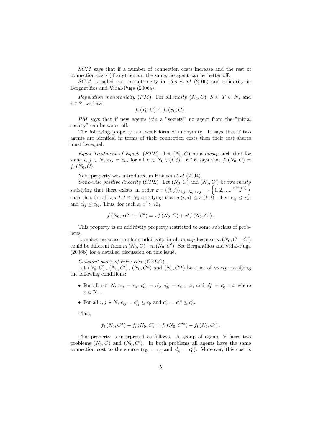SCM says that if a number of connection costs increase and the rest of connection costs (if any) remain the same, no agent can be better off.

SCM is called cost monotonicity in Tijs et al (2006) and solidarity in Bergantiños and Vidal-Puga (2006a).

Population monotonicity (PM). For all mestp  $(N_0, C)$ ,  $S \subset T \subset N$ , and  $i \in S$ , we have

$$
f_i(T_0, C) \leq f_i(S_0, C).
$$

PM says that if new agents join a "society" no agent from the "initial society" can be worse off.

The following property is a weak form of anonymity. It says that if two agents are identical in terms of their connection costs then their cost shares must be equal.

Equal Treatment of Equals (ETE). Let  $(N_0, C)$  be a mcstp such that for some i,  $j \in N$ ,  $c_{ki} = c_{kj}$  for all  $k \in N_0 \setminus \{i, j\}$ . ETE says that  $f_i(N_0, C)$  $f_i$   $(N_0, C)$ .

Next property was introduced in Branzei et al (2004).

Cone-wise positive linearity (CPL). Let  $(N_0, C)$  and  $(N_0, C')$  be two mestp satisfying that there exists an order  $\sigma: \{(i,j)\}_{i,j\in N_0,i$  $\frac{\binom{n+1}{2}}{2}$ such that for all  $i, j, k, l \in N_0$  satisfying that  $\sigma(i, j) \leq \sigma(k, l)$ , then  $c_{ij} \leq c_{kl}$ and  $c'_{ij} \leq c'_{kl}$ . Thus, for each  $x, x' \in \mathcal{R}_+$ 

$$
f(N_0, xC + x'C') = xf(N_0, C) + x'f(N_0, C').
$$

This property is an additivity property restricted to some subclass of problems.

It makes no sense to claim additivity in all  $mcstp$  because  $m(N_0, C + C')$ could be different from  $m(N_0, C) + m(N_0, C')$ . See Bergantiños and Vidal-Puga (2006b) for a detailed discussion on this issue.

Constant share of extra cost (CSEC).

Let  $(N_0, C)$ ,  $(N_0, C')$ ,  $(N_0, C^x)$  and  $(N_0, C'^x)$  be a set of mestp satisfying the following conditions:

- For all  $i \in N$ ,  $c_{0i} = c_0$ ,  $c'_{0i} = c'_0$ ,  $c_{0i}^x = c_0 + x$ , and  $c'^x_{0i} = c'_0 + x$  where  $x \in \mathcal{R}_{+}.$
- For all  $i, j \in N$ ,  $c_{ij} = c_{ij}^x \le c_0$  and  $c'_{ij} = c'_{ij}^x \le c'_0$ .

Thus,

$$
f_i(N_0, C^x) - f_i(N_0, C) = f_i(N_0, C'^x) - f_i(N_0, C').
$$

This property is interpreted as follows. A group of agents  $N$  faces two problems  $(N_0, C)$  and  $(N_0, C')$ . In both problems all agents have the same connection cost to the source  $(c_{0i} = c_0 \text{ and } c'_{0i} = c'_0)$ . Moreover, this cost is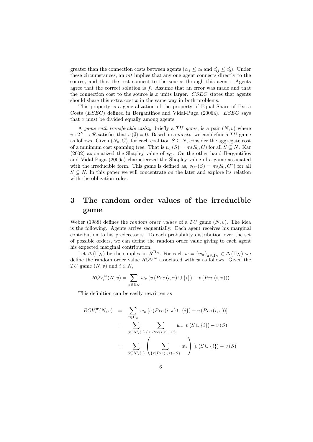greater than the connection costs between agents  $(c_{ij} \le c_0 \text{ and } c'_{ij} \le c'_0)$ . Under these circumstances, an mt implies that any one agent connects directly to the source, and that the rest connect to the source through this agent. Agents agree that the correct solution is  $f$ . Assume that an error was made and that the connection cost to the source is  $x$  units larger. CSEC states that agents should share this extra cost  $x$  in the same way in both problems.

This property is a generalization of the property of Equal Share of Extra Costs  $(ESEC)$  defined in Bergantiños and Vidal-Puga (2006a).  $ESEC$  says that  $x$  must be divided equally among agents.

A game with transferable utility, briefly a  $TU$  game, is a pair  $(N, v)$  where  $v: 2^N \to \mathcal{R}$  satisfies that  $v(\emptyset) = 0$ . Based on a *mcstp*, we can define a TU game as follows. Given  $(N_0, C)$ , for each coalition  $S \subseteq N$ , consider the aggregate cost of a minimum cost spanning tree. That is  $v_C(S) = m(S_0, C)$  for all  $S \subseteq N$ . Kar (2002) axiomatized the Shapley value of  $v<sub>C</sub>$ . On the other hand Bergantiños and Vidal-Puga (2006a) characterized the Shapley value of a game associated with the irreducible form. This game is defined as,  $v_{C^*}(S) = m(S_0, C^*)$  for all  $S \subseteq N$ . In this paper we will concentrate on the later and explore its relation with the obligation rules.

# 3 The random order values of the irreducible game

Weber (1988) defines the *random order values* of a TU game  $(N, v)$ . The idea is the following. Agents arrive sequentially. Each agent receives his marginal contribution to his predecessors. To each probability distribution over the set of possible orders, we can define the random order value giving to each agent his expected marginal contribution.

Let  $\Delta(\Pi_N)$  be the simplex in  $\mathcal{R}^{\Pi_N}$ . For each  $w = (w_\pi)_{\pi \in \Pi_N} \in \Delta(\Pi_N)$  we define the random order value  $ROV^w$  associated with w as follows. Given the TU game  $(N, v)$  and  $i \in N$ ,

$$
ROV_i^w(N, v) = \sum_{\pi \in \Pi_N} w_{\pi} \left( v \left( Pre\left(i, \pi\right) \cup \{i\} \right) - v \left( Pre\left(i, \pi\right) \right) \right)
$$

This definition can be easily rewritten as

$$
ROV_i^w(N, v) = \sum_{\pi \in \Pi_N} w_{\pi} \left[ v \left( Pre(i, \pi) \cup \{i\} \right) - v \left( Pre(i, \pi) \right) \right]
$$
  

$$
= \sum_{S \subseteq N \setminus \{i\}} \sum_{\{\pi \mid Pre(i, \pi) = S\}} w_{\pi} \left[ v \left( S \cup \{i\} \right) - v \left( S \right) \right]
$$
  

$$
= \sum_{S \subseteq N \setminus \{i\}} \left( \sum_{\{\pi \mid Pre(i, \pi) = S\}} w_{\pi} \right) \left[ v \left( S \cup \{i\} \right) - v \left( S \right) \right]
$$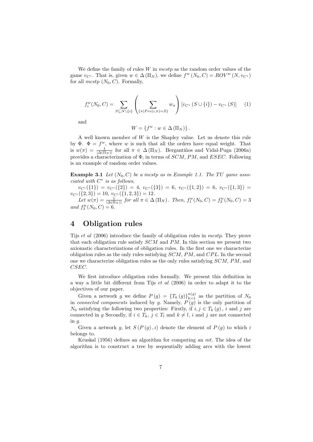We define the family of rules  $W$  in  $mctp$  as the random order values of the game  $v_{C^*}$ . That is, given  $w \in \Delta(\Pi_N)$ , we define  $f^w(N_0, C) = ROV^w(N, v_{C^*})$ for all  $mcstp$   $(N_0, C)$ . Formally,

$$
f_i^w(N_0, C) = \sum_{S \subseteq N \setminus \{i\}} \left( \sum_{\{\pi | Pre(i,\pi) = S\}} w_{\pi} \right) [v_{C^*} (S \cup \{i\}) - v_{C^*} (S)] \tag{1}
$$

and

$$
W = \{ f^w : w \in \Delta \left( \Pi_N \right) \}.
$$

A well known member of  $W$  is the Shapley value. Let us denote this rule by  $\Phi$ .  $\Phi = f^w$ , where w is such that all the orders have equal weight. That is  $w(\pi) = \frac{1}{|\Delta(\Pi_N)|}$  for all  $\pi \in \Delta(\Pi_N)$ . Bergantiños and Vidal-Puga (2006a) provides a characterization of  $\Phi$ , in terms of  $SCM$ , PM, and  $ESEC$ . Following is an example of random order values.

**Example 3.1** Let  $(N_0, C)$  be a mcstp as in Example 1.1. The TU game associated with  $C^*$  is as follows,

 $v_{C*}(\{1\}) = v_{C*}(\{2\}) = 4, v_{C*}(\{3\}) = 6, v_{C*}(\{1,2\}) = 6, v_{C*}(\{1,3\}) =$  $v_{C^*}(\{2,3\}) = 10, v_{C^*}(\{1,2,3\}) = 12.$ 

Let  $w(\pi) = \frac{1}{|\Delta(\Pi_N)|}$  for all  $\pi \in \Delta(\Pi_N)$ . Then,  $f_1^w(N_0, C) = f_2^w(N_0, C) = 3$ and  $f_3^w(N_0, C) = 6$ .

# 4 Obligation rules

Tijs et al (2006) introduce the family of obligation rules in *mcstp*. They prove that each obligation rule satisfy SCM and PM. In this section we present two axiomatic characterizations of obligation rules. In the first one we characterize obligation rules as the only rules satisfying  $SCM$ ,  $PM$ , and  $CPL$ . In the second one we characterize obligation rules as the only rules satisfying SCM, PM, and CSEC.

We first introduce obligation rules formally. We present this definition in a way a little bit different from Tijs et al (2006) in order to adapt it to the objectives of our paper.

Given a network g we define  $P(g) = {T_k(g)}_{k=1}^{n(g)}$  as the partition of  $N_0$ in *connected components* induced by g. Namely,  $P(g)$  is the only partition of  $N_0$  satisfying the following two properties: Firstly, if  $i, j \in T_k(q)$ , i and j are connected in g Secondly, if  $i \in T_k$ ,  $j \in T_l$  and  $k \neq l$ , i and j are not connected in  $q$ .

Given a network g, let  $S(P(g), i)$  denote the element of  $P(g)$  to which i belongs to.

Kruskal (1956) defines an algorithm for computing an mt. The idea of the algorithm is to construct a tree by sequentially adding arcs with the lowest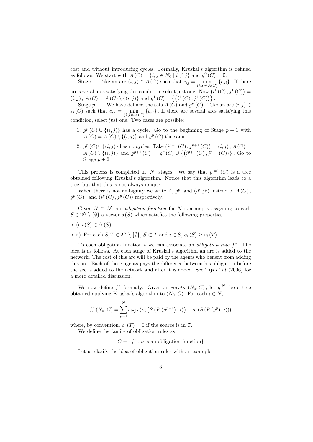cost and without introducing cycles. Formally, Kruskal's algorithm is defined as follows. We start with  $A(C) = \{i, j \in N_0 \mid i \neq j\}$  and  $g^0(C) = \emptyset$ .

Stage 1: Take an arc  $(i, j) \in A(C)$  such that  $c_{ij} = \min_{(k,l) \in A(C)} \{c_{kl}\}\.$  If there are several arcs satisfying this condition, select just one. Now  $(i^1(C), j^1(C))$  $(i, j)$ ,  $A(C) = A(C) \setminus \{(i, j)\}\$ and  $g^1(C) = \{(i^1(C), j^1(C))\}\$ .

Stage  $p+1$ . We have defined the sets  $A(\tilde{C})$  and  $g^p(C)$ . Take an arc  $(i, j) \in$  $A(C)$  such that  $c_{ij} = \min_{(k,l) \in A(C)} \{c_{kl}\}\.$  If there are several arcs satisfying this condition, select just one. Two cases are possible:

- 1.  $g^p(C) \cup \{(i,j)\}\)$  has a cycle. Go to the beginning of Stage  $p+1$  with  $A(C) = A(C) \setminus \{(i, j)\}\$ and  $g^p(C)$  the same.
- 2.  $g^p(C) \cup \{(i,j)\}\$ has no cycles. Take  $(i^{p+1}(C), j^{p+1}(C)) = (i, j), A(C) =$  $A(C) \setminus \{(i,j)\}\$ and  $g^{p+1}(C) = g^p(C) \cup \{(i^{p+1}(C), j^{p+1}(C))\}\$ . Go to Stage  $p+2$ .

This process is completed in |N| stages. We say that  $g^{|M|}(C)$  is a tree obtained following Kruskal's algorithm. Notice that this algorithm leads to a tree, but that this is not always unique.

When there is not ambiguity we write A,  $g^p$ , and  $(i^p, j^p)$  instead of  $A(C)$ ,  $g^p(C)$ , and  $(i^p(C), j^p(C))$  respectively.

Given  $N \subset \mathcal{N}$ , an *obligation function* for N is a map o assigning to each  $S \in 2^N \setminus \{\emptyset\}$  a vector  $o(S)$  which satisfies the following properties.

o-i)  $o(S) \in \Delta(S)$ .

**o-ii**) For each  $S, T \in 2^N \setminus \{\emptyset\}, S \subset T$  and  $i \in S$ ,  $o_i(S) \ge o_i(T)$ .

To each obligation function  $o$  we can associate an *obligation rule f<sup>o</sup>*. The idea is as follows. At each stage of Kruskal's algorithm an arc is added to the network. The cost of this arc will be paid by the agents who benefit from adding this arc. Each of these agents pays the difference between his obligation before the arc is added to the network and after it is added. See Tijs et al (2006) for a more detailed discussion.

We now define  $f^o$  formally. Given an  $mcstp$   $(N_0, C)$ , let  $g^{|N|}$  be a tree obtained applying Kruskal's algorithm to  $(N_0, C)$ . For each  $i \in N$ ,

$$
f_i^o(N_0, C) = \sum_{p=1}^{|N|} c_{i^p j^p} (o_i (S (P (g^{p-1}), i)) - o_i (S (P (g^p), i)))
$$

where, by convention,  $o_i(T) = 0$  if the source is in T.

We define the family of obligation rules as

 $O = \{f^o : o \text{ is an obligation function}\}\$ 

Let us clarify the idea of obligation rules with an example.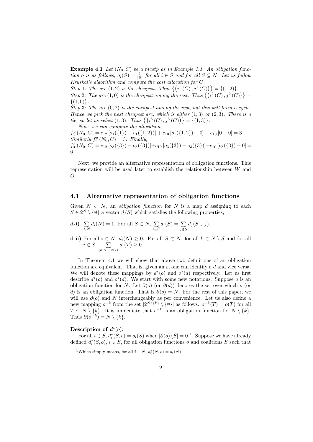**Example 4.1** Let  $(N_0, C)$  be a mostp as in Example 1.1. An obligation function o is as follows,  $o_i(S) = \frac{1}{|S|}$  for all  $i \in S$  and for all  $S \subseteq N$ . Let us follow Kruskal's algorithm and compute the cost allocation for C.

Step 1: The arc (1,2) is the cheapest. Thus  $\{(i^1(C), j^1(C))\} = \{(1, 2)\}.$ Step 2: The arc  $(1,0)$  is the cheapest among the rest. Thus  $\{(i^2(C), j^2(C))\}$ 

 ${(1, 0)}$ . Step 3: The arc  $(0, 2)$  is the cheapest among the rest, but this will form a cycle. Hence we pick the next cheapest arc, which is either  $(1, 3)$  or  $(2, 3)$ . There is a

tie, so let us select  $(1,3)$ . Thus  $\{(i^3(C), j^3(C))\} = \{(1,3)\}.$ Now, we can compute the allocation,

 $f_1^o(N_0, C) = c_{12} [o_1({1}) - o_1({1, 2})] + c_{10} [o_1({1, 2}) - 0] + c_{10} [0 - 0] = 3$ Similarly  $f_2^o(N_0, C) = 3$ . Finally,  $f_3^o(N_0, C) = c_{12} [o_3({3}) - o_3({3})] + c_{10} [o_3({3}) - o_3({3})] + c_{10} [o_3({3}) - 0] =$ 6

Next, we provide an alternative representation of obligation functions. This representation will be used later to establish the relationship between W and O.

#### 4.1 Alternative representation of obligation functions

Given  $N \subset \mathcal{N}$ , an *obligation function* for N is a map d assigning to each  $S \in 2^N \setminus \{\emptyset\}$  a vector  $d(S)$  which satisfies the following properties,

**d-i)** 
$$
\sum_{i \in N} d_i(N) = 1
$$
. For all  $S \subset N$ ,  $\sum_{i \in S} d_i(S) = \sum_{j \notin S} d_j(S \cup j)$ .

**d-ii**) For all  $i \in N$ ,  $d_i(N) \geq 0$ . For all  $S \subset N$ , for all  $k \in N \setminus S$  and for all  $i \in S$ ,  $\sum$  $\sum_{S \subseteq T \subseteq N \setminus k} d_i(T) \geq 0.$ 

In Theorem 4.1 we will show that above two definitions of an obligation function are equivalent. That is, given an  $\rho$ , one can identify a  $d$  and vice versa. We will denote these mappings by  $d^*(o)$  and  $o^*(d)$  respectively. Let us first describe  $d^*(o)$  and  $o^*(d)$ . We start with some new notations. Suppose o is an obligation function for N. Let  $\partial(\rho)$  (or  $\partial(d)$ ) denotes the set over which  $\rho$  (or d) is an obligation function. That is  $\partial(\rho) = N$ . For the rest of this paper, we will use  $\partial$ (o) and N interchangeably as per convenience. Let us also define a new mapping  $o^{-k}$  from the set  $[2^{N\setminus\{k\}} \setminus \{\emptyset\}]$  as follows.  $o^{-k}(T) = o(T)$  for all  $T \subseteq N \setminus \{k\}.$  It is immediate that  $o^{-k}$  is an obligation function for  $N \setminus \{k\}.$ Thus  $\partial(\varphi^{-k}) = N \setminus \{k\}.$ 

#### Description of  $d^*(o)$ :

For all  $i \in S$ ,  $d_i^*(S, o) = o_i(S)$  when  $|\partial(o) \setminus S| = 0$ <sup>1</sup>. Suppose we have already defined  $d_i^*(S, o)$ ,  $i \in S$ , for all obligation functions  $o$  and coalitions  $S$  such that

<sup>&</sup>lt;sup>1</sup>Which simply means, for all  $i \in N$ ,  $d_i^*(N, o) = o_i(N)$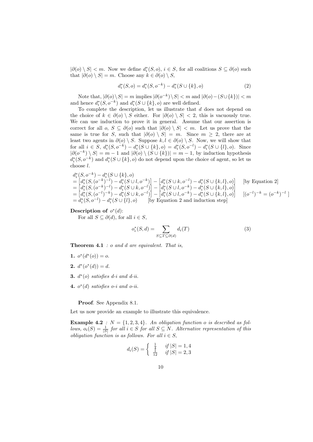$|\partial(o) \setminus S| < m$ . Now we define  $d_i^*(S, o), i \in S$ , for all coalitions  $S \subseteq \partial(o)$  such that  $|\partial(o) \setminus S| = m$ . Choose any  $k \in \partial(o) \setminus S$ ,

$$
d_i^*(S, o) = d_i^*(S, o^{-k}) - d_i^*(S \cup \{k\}, o)
$$
\n(2)

Note that,  $|\partial(o) \setminus S| = m$  implies  $|\partial(o^{-k}) \setminus S| < m$  and  $|\partial(o) - (S \cup \{k\})| < m$ and hence  $d_i^*(S, o^{-k})$  and  $d_i^*(S \cup \{k\}, o)$  are well defined.

To complete the description, let us illustrate that  $d$  does not depend on the choice of  $k \in \partial(\rho) \setminus S$  either. For  $|\partial(\rho) \setminus S| < 2$ , this is vacuously true. We can use induction to prove it in general. Assume that our assertion is correct for all  $o, S \subseteq \partial(o)$  such that  $|\partial(o) \setminus S| < m$ . Let us prove that the same is true for S, such that  $|\partial(\rho) \setminus S| = m$ . Since  $m \geq 2$ , there are at least two agents in  $\partial$ (o) \ S. Suppose  $k, l \in \partial$ (o) \ S. Now, we will show that for all  $i \in S$ ,  $d_i^*(S, o^{-k}) - d_i^*(S \cup \{k\}, o) = d_i^*(S, o^{-l}) - d_i^*(S \cup \{l\}, o)$ . Since  $|\partial(\overline{\overline{O}}^{-k}) \setminus S| = m - 1$  and  $|\partial(\overline{\overline{O}}) \setminus (S \cup \{k\})| = m - 1$ , by induction hypothesis  $d_i^*(S, o^{-k})$  and  $d_i^*(S \cup \{k\}, o)$  do not depend upon the choice of agent, so let us choose l.

$$
d_i^*(S, o^{-k}) - d_i^*(S \cup \{k\}, o)
$$
  
= 
$$
[d_i^*(S, (o^{-k})^{-l}) - d_i^*(S \cup l, o^{-k})] - [d_i^*(S \cup k, o^{-l}) - d_i^*(S \cup \{k, l\}, o)]
$$
 [by Equation 2]  
= 
$$
[d_i^*(S, (o^{-k})^{-l}) - d_i^*(S \cup k, o^{-l})] - [d_i^*(S \cup l, o^{-k}) - d_i^*(S \cup \{k, l\}, o)]
$$
  
= 
$$
[d_i^*(S, (o^{-l})^{-k}) - d_i^*(S \cup k, o^{-l})] - [d_i^*(S \cup l, o^{-k}) - d_i^*(S \cup \{k, l\}, o)]
$$
 
$$
[ (o^{-l})^{-k} = (o^{-k})^{-l} ]
$$
  
= 
$$
d_i^*(S, o^{-l}) - d_i^*(S \cup \{l\}, o)
$$
 [by Equation 2 and induction step]

Description of  $o^*(d)$ :

For all  $S \subseteq \partial(d)$ , for all  $i \in S$ ,

$$
o_i^*(S, d) = \sum_{S \subseteq T \subseteq \partial(d)} d_i(T) \tag{3}
$$

**Theorem 4.1** :  $o$  and  $d$  are equivalent. That is,

- 1.  $o^*(d^*(o)) = o$ .
- 2.  $d^*(o^*(d)) = d$ .
- 3.  $d^*(o)$  satisfies  $d$ -i and  $d$ -ii.
- 4.  $o^*(d)$  satisfies  $o$ -i and  $o$ -ii.

Proof. See Appendix 8.1.

Let us now provide an example to illustrate this equivalence.

**Example 4.2** :  $N = \{1, 2, 3, 4\}$ . An obligation function o is described as follows,  $o_i(S) = \frac{1}{|S|}$  for all  $i \in S$  for all  $S \subseteq N$ . Alternative representation of this *obligation function is as follows. For all*  $i \in S$ ,

$$
d_i(S) = \begin{cases} \frac{1}{4} & if \ |S| = 1, 4\\ \frac{1}{12} & if \ |S| = 2, 3 \end{cases}
$$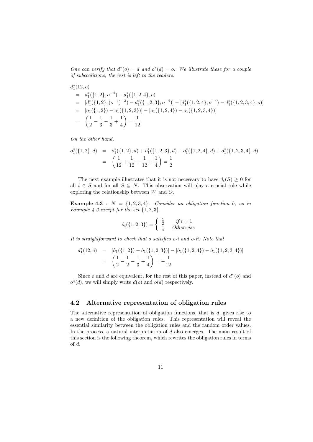One can verify that  $d^*(o) = d$  and  $o^*(d) = o$ . We illustrate these for a couple of subcoalitions, the rest is left to the readers.

$$
d_1^*(12, o)
$$
  
=  $d_1^*(\{1, 2\}, o^{-4}) - d_1^*(\{1, 2, 4\}, o)$   
=  $[d_1^*(\{1, 2\}, (o^{-4})^{-3}) - d_1^*(\{1, 2, 3\}, o^{-4})] - [d_1^*(\{1, 2, 4\}, o^{-4}) - d_1^*(\{1, 2, 3, 4\}, o)]$   
=  $[o_1(\{1, 2\}) - o_1(\{1, 2, 3\})] - [o_1(\{1, 2, 4\}) - o_1(\{1, 2, 3, 4\})]$   
=  $\left(\frac{1}{2} - \frac{1}{3} - \frac{1}{3} + \frac{1}{4}\right) = \frac{1}{12}$ 

On the other hand,

$$
o_1^*(\{1,2\},d) = o_1^*(\{1,2\},d) + o_1^*(\{1,2,3\},d) + o_1^*(\{1,2,4\},d) + o_1^*(\{1,2,3,4\},d)
$$
  
= 
$$
\left(\frac{1}{12} + \frac{1}{12} + \frac{1}{12} + \frac{1}{4}\right) = \frac{1}{2}
$$

The next example illustrates that it is not necessary to have  $d_i(S) \geq 0$  for all  $i \in S$  and for all  $S \subseteq N$ . This observation will play a crucial role while exploring the relationship between W and O.

Example 4.3 :  $N = \{1, 2, 3, 4\}$ . Consider an obligation function  $\hat{o}$ , as in Example 4.2 except for the set  $\{1, 2, 3\}$ .

$$
\hat{o}_i(\{1, 2, 3\}) = \begin{cases} \frac{1}{2} & if i = 1\\ \frac{1}{4} & Otherwise \end{cases}
$$

It is straightforward to check that o satisfies o-i and o-ii. Note that

$$
d_1^*(12, \hat{o}) = [\hat{o}_1(\{1, 2\}) - \hat{o}_1(\{1, 2, 3\})] - [\hat{o}_1(\{1, 2, 4\}) - \hat{o}_1(\{1, 2, 3, 4\})]
$$
  
=  $\left(\frac{1}{2} - \frac{1}{2} - \frac{1}{3} + \frac{1}{4}\right) = -\frac{1}{12}$ 

Since  $o$  and  $d$  are equivalent, for the rest of this paper, instead of  $d^*(o)$  and  $o^*(d)$ , we will simply write  $d(o)$  and  $o(d)$  respectively.

#### 4.2 Alternative representation of obligation rules

The alternative representation of obligation functions, that is  $d$ , gives rise to a new definition of the obligation rules. This representation will reveal the essential similarity between the obligation rules and the random order values. In the process, a natural interpretation of  $d$  also emerges. The main result of this section is the following theorem, which rewrites the obligation rules in terms of d.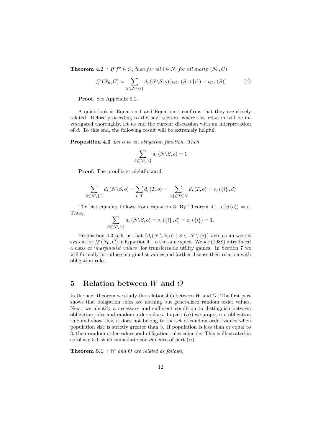**Theorem 4.2** : If  $f^o \in O$ , then for all  $i \in N$ , for all mestp  $(N_0, C)$ 

$$
f_i^o(N_0, C) = \sum_{S \subseteq N \setminus \{i\}} d_i(N \setminus S, o) \left[ v_{C^*} (S \cup \{i\}) - v_{C^*} (S) \right]
$$
 (4)

Proof. See Appendix 8.2.

A quick look at Equation 1 and Equation 4 confirms that they are closely related. Before proceeding to the next section, where this relation will be investigated thoroughly, let us end the current discussion with an interpretation of d. To this end, the following result will be extremely helpful.

Proposition 4.3 Let o be an obligation function. Then

$$
\sum_{S \subseteq N \setminus \{i\}} d_i \left( N \setminus S, o \right) = 1
$$

Proof. The proof is straightforward.

$$
\sum_{S \subseteq N \setminus \{i\}} d_i(N \setminus S, o) = \sum_{i \in T} d_i(T, o) = \sum_{\{i\} \subseteq T \subseteq N} d_i(T, o) = o_i(\{i\}, d)
$$

The last equality follows from Equation 3. By Theorem 4.1,  $o(d(o)) = o$ . Thus,

$$
\sum_{S \subseteq N \setminus \{i\}} d_i (N \setminus S, o) = o_i (\{i\}, d) = o_i (\{i\}) = 1.
$$

Proposition 4.3 tells us that  $\{d_i(N \setminus S, o) \mid S \subseteq N \setminus \{i\}\}\)$  acts as an weight system for  $f_i^o(N_0, C)$  in Equation 4. In the same spirit, Weber (1988) introduced a class of 'marginalist values' for transferrable utility games. In Section 7 we will formally introduce marginalist values and farther discuss their relation with obligation rules.

## 5 Relation between W and O

In the next theorem we study the relationship between  $W$  and  $O$ . The first part shows that obligation rules are nothing but generalized random order values. Next, we identify a necessary and sufficient condition to distinguish between obligation rules and random order values. In part  $(iii)$  we propose an obligation rule and show that it does not belong to the set of random order values when population size is strictly greater than 3. If population is less than or equal to 3, then random order values and obligation rules coincide. This is illustrated in corollary 5.1 as an immediate consequence of part  $(ii)$ .

**Theorem 5.1** : W and O are related as follows,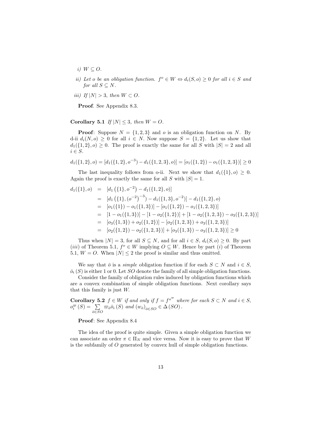- i)  $W \subseteq O$ .
- ii) Let o be an obligation function.  $f^{\circ} \in W \Leftrightarrow d_i(S, o) \geq 0$  for all  $i \in S$  and for all  $S \subseteq N$ .
- iii) If  $|N| > 3$ , then  $W \subset O$ .

Proof. See Appendix 8.3.

Corollary 5.1 If  $|N| \leq 3$ , then  $W = O$ .

**Proof:** Suppose  $N = \{1, 2, 3\}$  and o is an obligation function on N. By d-ii  $d_i(N, o) \geq 0$  for all  $i \in N$ . Now suppose  $S = \{1, 2\}$ . Let us show that  $d_1({1, 2}, 0) \geq 0$ . The proof is exactly the same for all S with  $|S| = 2$  and all  $i \in S$ .

$$
d_1({1, 2}, o) = [d_1({1, 2}, o^{-3}) - d_1({1, 2, 3}, o)] = [o_1({1, 2}) - o_1({1, 2, 3})] \ge 0
$$

The last inequality follows from o-ii. Next we show that  $d_1({1}, o) > 0$ . Again the proof is exactly the same for all S with  $|S| = 1$ .

$$
d_1(\{1\}, o) = [d_1(\{1\}, o^{-2}) - d_1(\{1, 2\}, o)]
$$
  
\n
$$
= [d_1(\{1\}, (o^{-2})^{-3}) - d_1(\{1, 3\}, o^{-2})] - d_1(\{1, 2\}, o)
$$
  
\n
$$
= [o_1(\{1\}) - o_1(\{1, 3\})] - [o_1(\{1, 2\}) - o_1(\{1, 2, 3\})]
$$
  
\n
$$
= [1 - o_1(\{1, 3\})] - [1 - o_2(\{1, 2\})] + [1 - o_2(\{1, 2, 3\}) - o_3(\{1, 2, 3\})]
$$
  
\n
$$
= [o_3(\{1, 3\}) + o_2(\{1, 2\})] - [o_2(\{1, 2, 3\}) + o_3(\{1, 2, 3\})]
$$
  
\n
$$
= [o_2(\{1, 2\}) - o_2(\{1, 2, 3\})] + [o_3(\{1, 3\}) - o_3(\{1, 2, 3\})] \ge 0
$$

Thus when  $|N| = 3$ , for all  $S \subseteq N$ , and for all  $i \in S$ ,  $d_i(S, o) \geq 0$ . By part (*iii*) of Theorem 5.1,  $f^{\circ} \in W$  implying  $O \subseteq W$ . Hence by part (*i*) of Theorem 5.1,  $W = O$ . When  $|N| \leq 2$  the proof is similar and thus omitted.

We say that  $\bar{o}$  is a *simple* obligation function if for each  $S \subset N$  and  $i \in S$ ,  $\overline{o}_i(S)$  is either 1 or 0. Let SO denote the family of all simple obligation functions.

Consider the family of obligation rules induced by obligation functions which are a convex combination of simple obligation functions. Next corollary says that this family is just W.

**Corollary 5.2**  $f \in W$  if and only if  $f = f^{\circ^\varpi}$  where for each  $S \subset N$  and  $i \in S$ ,  $o_i^{\varpi}(S) = \sum$  $\sum_{\bar{o}\in SO} \overline{\omega}_{\bar{o}}\bar{o}_i(S)$  and  $(w_{\bar{o}})_{\bar{o}\in SO} \in \Delta(SO)$ .

Proof: See Appendix 8.4

The idea of the proof is quite simple. Given a simple obligation function we can associate an order  $\pi \in \Pi_N$  and vice versa. Now it is easy to prove that W is the subfamily of O generated by convex hull of simple obligation functions.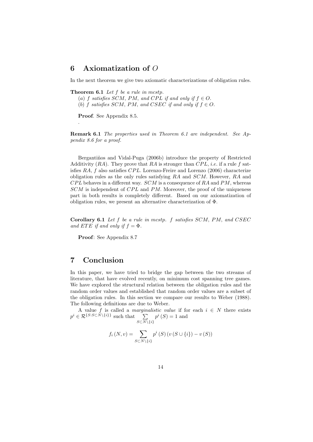# 6 Axiomatization of O

In the next theorem we give two axiomatic characterizations of obligation rules.

**Theorem 6.1** Let  $f$  be a rule in mestp.

- (a) f satisfies SCM, PM, and CPL if and only if  $f \in O$ .
- (b) f satisfies SCM, PM, and CSEC if and only if  $f \in O$ .

Proof. See Appendix 8.5.

.

Remark 6.1 The properties used in Theorem 6.1 are independent. See Appendix 8.6 for a proof.

Bergantiños and Vidal-Puga (2006b) introduce the property of Restricted Additivity  $(RA)$ . They prove that RA is stronger than  $CPL$ , *i.e.* if a rule f satisfies  $RA$ , f also satisfies  $CPL$ . Lorenzo-Freire and Lorenzo (2006) characterize obligation rules as the only rules satisfying RA and SCM. However, RA and  $CPL$  behaves in a different way.  $SCM$  is a consequence of RA and PM, whereas  $SCM$  is independent of  $CPL$  and PM. Moreover, the proof of the uniqueness part in both results is completely different. Based on our axiomatization of obligation rules, we present an alternative characterization of Φ.

Corollary 6.1 Let f be a rule in mestp. f satisfies SCM, PM, and CSEC and ETE if and only if  $f = \Phi$ .

Proof: See Appendix 8.7

# 7 Conclusion

In this paper, we have tried to bridge the gap between the two streams of literature, that have evolved recently, on minimum cost spanning tree games. We have explored the structural relation between the obligation rules and the random order values and established that random order values are a subset of the obligation rules. In this section we compare our results to Weber (1988). The following definitions are due to Weber.

A value f is called a *marginalistic value* if for each  $i \in N$  there exists  $p^i \in \mathcal{R}^{\{S: S \subset N \setminus \{i\}\}}$  such that  $\sum$  $S\subset N\backslash\{i\}$  $p^{i}(S) = 1$  and

$$
f_i(N, v) = \sum_{S \subset N \setminus \{i\}} p^i(S) (v(S \cup \{i\}) - v(S))
$$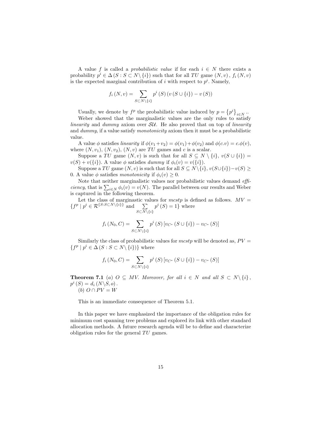A value f is called a *probabilistic value* if for each  $i \in N$  there exists a probability  $p^i \in \Delta(S : S \subset N \setminus \{i\})$  such that for all TU game  $(N, v)$ ,  $f_i(N, v)$ is the expected marginal contribution of i with respect to  $p<sup>i</sup>$ . Namely,

$$
f_i(N, v) = \sum_{S \subset N \setminus \{i\}} p^i(S) (v(S \cup \{i\}) - v(S))
$$

Usually, we denote by  $f^p$  the probabilistic value induced by  $p = \{p^i\}_{i \in N}$ .

Weber showed that the marginalistic values are the only rules to satisfy linearity and dummy axiom over  $\mathcal{S}U$ . He also proved that on top of linearity and dummy, if a value satisfy monotonicity axiom then it must be a probabilistic value.

A value  $\phi$  satisfies linearity if  $\phi(v_1+v_2) = \phi(v_1)+\phi(v_2)$  and  $\phi(c.v) = c.\phi(v)$ , where  $(N, v_1)$ ,  $(N, v_2)$ ,  $(N, v)$  are TU games and c is a scalar.

Suppose a TU game  $(N, v)$  is such that for all  $S \subseteq N \setminus \{i\}, v(S \cup \{i\}) =$  $v(S) + v({i}).$  A value  $\phi$  satisfies dummy if  $\phi_i(v) = v({i}).$ 

Suppose a TU game  $(N, v)$  is such that for all  $S \subseteq N \setminus \{i\}$ ,  $v(S \cup \{i\}) - v(S) \ge$ 0. A value  $\phi$  satisfies monotonicity if  $\phi_i(v) \geq 0$ .

Note that neither marginalistic values nor probabilistic values demand *efficiency*, that is  $\sum_{i \in N} \phi_i(v) = v(N)$ . The parallel between our results and Weber is captured in the following theorem.

Let the class of marginastic values for mcstp is defined as follows.  $MV =$  ${f^p \mid p^i \in \mathcal{R}^{\{S:S\subset N\setminus\{i\}\}} \text{ and } \sum}$  $S\subset N\backslash\{i\}$  $p^{i}(S) = 1$  where

$$
f_i(N_0, C) = \sum_{S \subset N \setminus \{i\}} p^i(S) \left[ v_{C^*} (S \cup \{i\}) - v_{C^*} (S) \right]
$$

Similarly the class of probabilistic values for mcstp will be denoted as,  $PV =$  $\{f^p | p^i \in \Delta S : S \subset N \setminus \{i\}\}\$  where

$$
f_i(N_0, C) = \sum_{S \subset N \setminus \{i\}} p^i(S) \left[ v_{C^*} (S \cup \{i\}) - v_{C^*} (S) \right]
$$

**Theorem 7.1** (a)  $O \subseteq MV$ . Moreover, for all  $i \in N$  and all  $S \subset N \setminus \{i\}$ ,  $p^i(S) = d_i(N\backslash S, o).$ (b)  $O \cap PV = W$ 

This is an immediate consequence of Theorem 5.1.

In this paper we have emphasized the importance of the obligation rules for minimum cost spanning tree problems and explored its link with other standard allocation methods. A future research agenda will be to define and characterize obligation rules for the general  $TU$  games.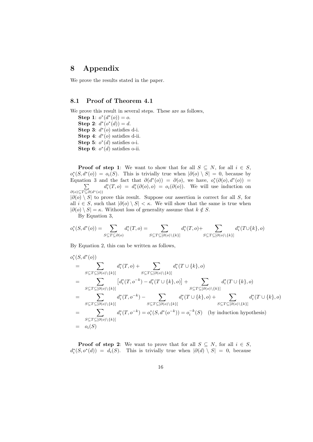# 8 Appendix

We prove the results stated in the paper.

## 8.1 Proof of Theorem 4.1

We prove this result in several steps. These are as follows,

Step 1:  $o^*(d^*(o)) = o$ . Step 2:  $d^*(o^*(d)) = d$ . Step 3:  $d^*(o)$  satisfies d-i. Step 4:  $d^*(o)$  satisfies d-ii. Step 5:  $o^*(d)$  satisfies o-i. Step 6:  $o^*(d)$  satisfies o-ii.

**Proof of step 1:** We want to show that for all  $S \subseteq N$ , for all  $i \in S$ ,  $o_i^*(S, d^*(o)) = o_i(S)$ . This is trivially true when  $|\partial(o) \setminus S| = 0$ , because by Equation 3 and the fact that  $\partial(d^*(o)) = \partial(o)$ , we have,  $o_i^*(\partial(o), d^*(o)) =$ P  $\partial(o) \subseteq T \subseteq \partial(d^*(o))$  $d_i^*(T, o) = d_i^*(\partial(o), o) = o_i(\partial(o))$ . We will use induction on  $|\partial(\rho) \setminus S|$  to prove this result. Suppose our assertion is correct for all S, for all  $i \in S$ , such that  $|\partial(o) \setminus S| < \kappa$ . We will show that the same is true when  $|\partial(\rho) \setminus S| = \kappa$ . Without loss of generality assume that  $k \notin S$ . By Equation 3,

$$
o_i^*(S, d^*(o)) = \sum_{S \subseteq T \subseteq \partial(o)} d_i^*(T, o) = \sum_{S \subseteq T \subseteq [\partial(o) \setminus \{k\}]} d_i^*(T, o) + \sum_{S \subseteq T \subseteq [\partial(o) \setminus \{k\}]} d_i^*(T \cup \{k\}, o)
$$

By Equation 2, this can be written as follows,

$$
o_i^*(S, d^*(o))
$$
\n
$$
= \sum_{S \subseteq T \subseteq [\partial(o) \setminus \{k\}]} d_i^*(T, o) + \sum_{S \subseteq T \subseteq [\partial(o) \setminus \{k\}]} d_i^*(T \cup \{k\}, o)
$$
\n
$$
= \sum_{S \subseteq T \subseteq [\partial(o) \setminus \{k\}]} [d_i^*(T, o^{-k}) - d_i^*(T \cup \{k\}, o)] + \sum_{S \subseteq T \subseteq [\partial(o) \setminus \{k\}]} d_i^*(T \cup \{k\}, o)
$$
\n
$$
= \sum_{S \subseteq T \subseteq [\partial(o) \setminus \{k\}]} d_i^*(T, o^{-k}) - \sum_{S \subseteq T \subseteq [\partial(o) \setminus \{k\}]} d_i^*(T \cup \{k\}, o) + \sum_{S \subseteq T \subseteq [\partial(o) \setminus \{k\}]} d_i^*(T \cup \{k\}, o)
$$
\n
$$
= \sum_{S \subseteq T \subseteq [\partial(o) \setminus \{k\}]} d_i^*(T, o^{-k}) = o_i^*(S, d^*(o^{-k})) = o_i^{-k}(S) \quad \text{(by induction hypothesis)}
$$
\n
$$
= o_i(S)
$$

**Proof of step 2:** We want to prove that for all  $S \subseteq N$ , for all  $i \in S$ ,  $d_i^*(S, o^*(d)) = d_i(S)$ . This is trivially true when  $|\partial(d) \setminus S| = 0$ , because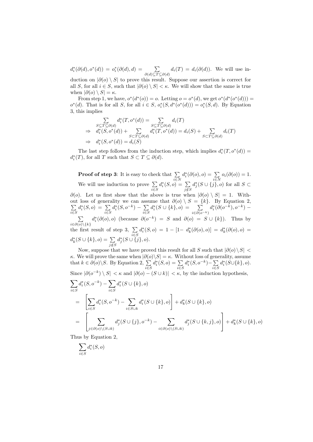$d_i^*(\partial(d), o^*(d)) = o_i^*(\partial(d), d) = \sum$  $\sum_{\partial(d)\subseteq T\subseteq \partial(d)} d_i(T) = d_i(\partial(d)).$  We will use in-

duction on  $|\partial(\rho) \setminus S|$  to prove this result. Suppose our assertion is correct for all S, for all  $i \in S$ , such that  $|\partial(o) \setminus S| < \kappa$ . We will show that the same is true when  $|\partial(o) \setminus S| = \kappa$ .

From step 1, we have,  $o^*(d^*(o)) = o$ . Letting  $o = o^*(d)$ , we get  $o^*(d^*(o^*(d))) =$  $o^*(d)$ . That is for all S, for all  $i \in S$ ,  $o_i^*(S, d^*(o^*(d))) = o_i^*(S, d)$ . By Equation 3, this implies

$$
\sum_{\substack{S \subseteq T \subseteq \partial(d) \\ d_i^*(S, o^*(d))}} d_i^*(T, o^*(d)) = \sum_{\substack{S \subseteq T \subseteq \partial(d) \\ d_i^*(T, o^*(d))}} d_i(T)
$$
\n
$$
\Rightarrow d_i^*(S, o^*(d)) + \sum_{\substack{S \subseteq T \subseteq \partial(d) \\ d_i(S)}} d_i^*(T, o^*(d)) = d_i(S) + \sum_{\substack{S \subseteq T \subseteq \partial(d) \\ d_i^*(S, o^*(d))}} d_i(T)
$$

The last step follows from the induction step, which implies  $d_i^*(T, o^*(d)) =$  $d_i^*(T)$ , for all T such that  $S \subset T \subseteq \partial(d)$ .

**Proof of step 3:** It is easy to check that  $\Sigma$ i∈N  $d_i^*(\partial(o), o) = \sum$  $\sum_{i\in N} o_i(\partial(o)) = 1.$ We will use induction to prove  $\Sigma$ i∈S  $d_i^*(S,o) = \sum$ j /∈S  $d_j^*(S \cup \{j\}, o)$  for all  $S \subset$  $\partial(\rho)$ . Let us first show that the above is true when  $|\partial(\rho) \setminus S| = 1$ . Without loss of generality we can assume that P  $\partial$ (o) \ S = {k}. By Equation 2, i∈S  $d_i^*(S,o) = \sum$ i∈S  $d_i^*(S, o^{-k}) - \sum$ i∈S  $d_i^*(S \cup \{k\}, o) = \sum$  $i ∈ ∂(o<sup>-k</sup>)$  $d_i^*(\partial(o^{-k}), o^{-k}) \sum$  $i\in\partial(o)\backslash\{k\}$  $d_i^*(\partial(o), o)$  (because  $\partial(o^{-k}) = S$  and  $\partial(o) = S \cup \{k\}$ ). Thus by the first result of step 3,  $\Sigma$ i∈S  $d_i^*(S, o) = 1 - [1 - d_k^*(\partial(o), o)] = d_k^*(\partial(o), o) =$  $d_k^*(S \cup \{k\}, o) = \sum$ j /∈S  $d_j^*(S \cup \{j\}, o).$ 

Now, suppose that we have proved this result for all S such that  $|\partial(\rho) \setminus S|$  < κ. We will prove the same when  $|\partial(\rho)\backslash S| = \kappa$ . Without loss of generality, assume that  $k \in \partial(\varrho) \backslash S$ . By Equation 2,  $\sum$ i∈S  $d_i^*(S, o) = \sum$ i∈S  $d_i^*(S, o^{-k}) - \sum$ i∈S  $d_i^*(S \cup \{k\}, o).$ Since  $|\partial(\rho^{-k}) \setminus S| < \kappa$  and  $|\partial(\rho) - (S \cup k)| < \kappa$ , by the induction hypothesis,

$$
\sum_{i \in S} d_i^*(S, o^{-k}) - \sum_{i \in S} d_i^*(S \cup \{k\}, o)
$$
\n
$$
= \left[ \sum_{i \in S} d_i^*(S, o^{-k}) - \sum_{i \in S \cup k} d_i^*(S \cup \{k\}, o) \right] + d_k^*(S \cup \{k\}, o)
$$
\n
$$
= \left[ \sum_{j \in \partial(o) \setminus (S \cup k)} d_j^*(S \cup \{j\}, o^{-k}) - \sum_{i \in \partial(o) \setminus (S \cup k)} d_j^*(S \cup \{k, j\}, o) \right] + d_k^*(S \cup \{k\}, o)
$$

Thus by Equation 2,

$$
\sum_{i \in S} d_i^*(S, o)
$$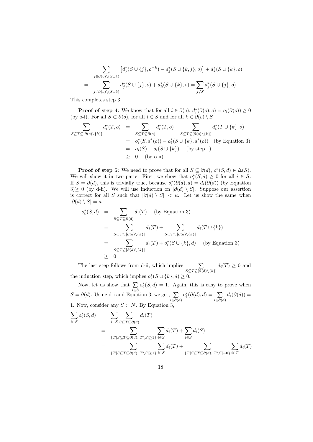$$
= \sum_{j \in \partial(o) \setminus (S \cup k)} [d_j^*(S \cup \{j\}, o^{-k}) - d_j^*(S \cup \{k, j\}, o)] + d_k^*(S \cup \{k\}, o)
$$
  

$$
= \sum_{j \in \partial(o) \setminus (S \cup k)} d_j^*(S \cup \{j\}, o) + d_k^*(S \cup \{k\}, o) = \sum_{j \notin S} d_j^*(S \cup \{j\}, o)
$$

This completes step 3.

**Proof of step 4**: We know that for all  $i \in \partial(0)$ ,  $d_i^*(\partial(0), 0) = o_i(\partial(0)) \ge 0$ (by o-i). For all  $S \subset \partial(o)$ , for all  $i \in S$  and for all  $k \in \partial(o) \setminus S$ 

$$
\sum_{S \subseteq T \subseteq [\partial(o) \setminus \{k\}]} d_i^*(T, o) = \sum_{S \subseteq T \subseteq \partial(o)} d_i^*(T, o) - \sum_{S \subseteq T \subseteq [\partial(o) \setminus \{k\}]} d_i^*(T \cup \{k\}, o)
$$
\n
$$
= o_i^*(S, d^*(o)) - o_i^*(S \cup \{k\}, d^*(o)) \quad \text{(by Equation 3)}
$$
\n
$$
= o_i(S) - o_i(S \cup \{k\}) \quad \text{(by step 1)}
$$
\n
$$
\geq 0 \quad \text{(by o-ii)}
$$

**Proof of step 5**: We need to prove that for all  $S \subseteq \partial(d)$ ,  $o^*(S, d) \in \Delta(S)$ . We will show it in two parts. First, we show that  $o_i^*(S, d) \geq 0$  for all  $i \in S$ . If  $S = \partial(d)$ , this is trivially true, because  $o_i^*(\partial(d), d) = d_i(\partial(d))$  (by Equation 3)≥ 0 (by d-ii). We will use induction on  $|\partial(d) \setminus S|$ . Suppose our assertion is correct for all S such that  $|\partial(d) \setminus S| < \kappa$ . Let us show the same when  $|\partial(d) \setminus S| = \kappa.$ 

$$
o_i^*(S, d) = \sum_{S \subseteq T \subseteq \partial(d)} d_i(T) \quad \text{(by Equation 3)}
$$
  
= 
$$
\sum_{S \subseteq T \subseteq [\partial(d) \setminus \{k\}]} d_i(T) + \sum_{S \subseteq T \subseteq [\partial(d) \setminus \{k\}]} d_i(T \cup \{k\})
$$
  
= 
$$
\sum_{S \subseteq T \subseteq [\partial(d) \setminus \{k\}]} d_i(T) + o_i^*(S \cup \{k\}, d) \quad \text{(by Equation 3)}
$$
  

$$
\geq 0
$$

The last step follows from d-ii, which implies  $\sum$  $\sum_{S \subseteq T \subseteq [\partial(d) \setminus \{k\}]} d_i(T) \geq 0$  and the induction step, which implies  $o_i^*(S \cup \{k\}, d) \geq 0$ .

Now, let us show that  $\Sigma$ i∈S  $o_i^*(S, d) = 1$ . Again, this is easy to prove when  $S = \partial(d)$ . Using d-i and Equation 3, we get,  $\sum$  $i \in \partial(d)$  $o_i^*(\partial(d), d) = \sum$  $\sum_{i\in\partial(d)}d_i(\partial(d))=$ 1. Now, consider any  $S \subset N$ . By Equation 3,

$$
\sum_{i \in S} o_i^*(S, d) = \sum_{i \in S} \sum_{S \subseteq T \subseteq \partial(d)} d_i(T)
$$
\n
$$
= \sum_{\{T | S \subseteq T \subseteq \partial(d), |T \setminus S| \ge 1\}} \sum_{i \in S} d_i(T) + \sum_{i \in S} d_i(S)
$$
\n
$$
= \sum_{\{T | S \subseteq T \subseteq \partial(d), |T \setminus S| \ge 1\}} \sum_{i \in S} d_i(T) + \sum_{\{T | S \subseteq T \subseteq \partial(d), |T \setminus S| = 0\}} \sum_{i \in T} d_i(T)
$$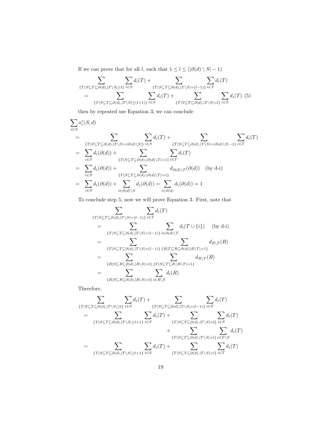If we can prove that for all  $l,$  such that  $1 \leq l \leq (|\partial(d) \setminus S| - 1)$ 

$$
\sum_{\{T|S\subseteq T\subseteq\partial(d),|T\setminus S|\geq l\}}\sum_{i\in S}d_i(T) + \sum_{\{T|S\subseteq T\subseteq\partial(d),|T\setminus S|=(l-1)\}}\sum_{i\in T}d_i(T)
$$
\n
$$
= \sum_{\{T|S\subseteq T\subseteq\partial(d),|T\setminus S|\geq (l+1)\}}\sum_{i\in S}d_i(T) + \sum_{\{T|S\subseteq T\subseteq\partial(d),|T\setminus S|=l\}}\sum_{i\in T}d_i(T) \tag{5}
$$

then by repeated use Equation 3, we can conclude

$$
\sum_{i \in S} o_i^*(S, d)
$$
\n
$$
= \sum_{\{T|S \subseteq T \subseteq \partial(d), |T \setminus S| = |\partial(d) \setminus S|\}} \sum_{i \in S} d_i(T) + \sum_{\{T|S \subseteq T \subseteq \partial(d), |T \setminus S| = |\partial(d) \setminus S| - 1\}} \sum_{i \in T} d_i(T)
$$
\n
$$
= \sum_{i \in S} d_i(\partial(d)) + \sum_{\{T|S \subseteq T \subseteq \partial(d), |\partial(d) \setminus T| = 1\}} d_{\partial(d)}(T)
$$
\n
$$
= \sum_{i \in S} d_i(\partial(d)) + \sum_{\{T|S \subseteq T \subseteq \partial(d), |\partial(d) \setminus T| = 1\}} d_{\partial(d)}(T)
$$
\n
$$
= \sum_{i \in S} d_i(\partial(d)) + \sum_{i \in \partial(d) \setminus S} d_i(\partial(d)) = \sum_{i \in \partial(d)} d_i(\partial(d)) = 1
$$

To conclude step 5, now we will prove Equation 3. First, note that

$$
\sum_{\{T|S\subseteq T\subseteq\partial(d),|T\setminus S|=(l-1)\}} \sum_{i\in T} d_i(T)
$$
\n
$$
= \sum_{\{T|S\subseteq T\subseteq\partial(d),|T\setminus S|=(l-1)\}} \sum_{i\in\partial(d)\setminus T} d_i(T \cup \{i\}) \quad \text{(by d-i)}
$$
\n
$$
= \sum_{\{T|S\subseteq T\subseteq\partial(d),|T\setminus S|=(l-1)\}} \sum_{\{R|T\subseteq R\subseteq\partial(d)||R\setminus T|=1\}} d_{R\setminus T}(R)
$$
\n
$$
= \sum_{\{R|S\subseteq R\subseteq\partial(d),|R\setminus S|=\{i\}} \sum_{i\in R\setminus S} d_i(R)
$$
\n
$$
= \sum_{\{R|S\subseteq R\subseteq\partial(d),|R\setminus S|=\{i\}} \sum_{i\in R\setminus S} d_i(R)
$$

Therefore,

$$
\sum_{\{T|S\subseteq T\subseteq\partial(d),|T\setminus S|\geq l\}}\sum_{i\in S}d_i(T) + \sum_{\{T|S\subseteq T\subseteq\partial(d),|T\setminus S|=(l-1)\}}\sum_{i\in T}d_i(T)
$$
\n
$$
= \sum_{\{T|S\subseteq T\subseteq\partial(d),|T\setminus S|\geq l+1\}}\sum_{i\in S}d_i(T) + \sum_{\{T|S\subseteq T\subseteq\partial(d),|T\setminus S|=l\}}\sum_{i\in S}d_i(T)
$$
\n
$$
+ \sum_{\{T|S\subseteq T\subseteq\partial(d),|T\setminus S|=l\}}\sum_{i\in T\setminus S}d_i(T)
$$
\n
$$
= \sum_{\{T|S\subseteq T\subseteq\partial(d),|T\setminus S|\geq l+1\}}\sum_{i\in S}d_i(T) + \sum_{\{T|S\subseteq T\subseteq\partial(d),|T\setminus S|=l\}}\sum_{i\in T}d_i(T)
$$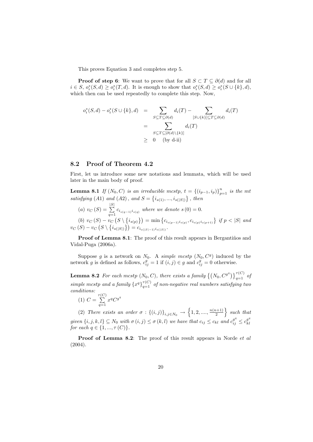This proves Equation 3 and completes step 5.

**Proof of step 6:** We want to prove that for all  $S \subset T \subseteq \partial(d)$  and for all  $i \in S$ ,  $o_i^*(S, d) \geq o_i^*(T, d)$ . It is enough to show that  $o_i^*(S, d) \geq o_i^*(S \cup \{k\}, d)$ , which then can be used repeatedly to complete this step. Now,

$$
o_i^*(S, d) - o_i^*(S \cup \{k\}, d) = \sum_{S \subseteq T \subseteq \partial(d)} d_i(T) - \sum_{[S \cup \{k\}] \subseteq T \subseteq \partial(d)} d_i(T)
$$
  
= 
$$
\sum_{S \subseteq T \subseteq [\partial(d) \setminus \{k\}]} d_i(T)
$$
  

$$
\geq 0 \quad \text{(by d-ii)}
$$

### 8.2 Proof of Theorem 4.2

First, let us introduce some new notations and lemmata, which will be used later in the main body of proof.

**Lemma 8.1** If  $(N_0, C)$  is an irreducible mostp,  $t = \{(i_{p-1}, i_p)\}_{p=1}^n$  is the mt satisfying (A1) and (A2), and  $S = \{i_{s(1)}, ..., i_{s(|S|)}\}$ , then

(a) 
$$
v_C(S) = \sum_{q=1}^{|S|} c_{i_{s(q-1)}i_{s(q)}}
$$
 where we denote  $s(0) = 0$ .

(b)  $v_C(S) - v_C(S \setminus \{i_{s(p)}\}) = \min \{c_{i_{s(p-1)}i_{s(p)}}, c_{i_{s(p)}i_{s(p+1)}}\}$  if  $p < |S|$  and  $v_{C}\left(S\right)-v_{C}\left(S\setminus\left\{ i_{s\left(\left|S\right|\right)}\right\} \right)=c_{i_{s\left(\left|S\right|-1\right)}i_{s\left(\left|S\right|\right)}}.$ 

**Proof of Lemma 8.1**: The proof of this result appears in Bergantiños and Vidal-Puga (2006a).

Suppose g is a network on  $N_0$ . A simple mcstp  $(N_0, C<sup>g</sup>)$  induced by the network g is defined as follows,  $c_{ij}^g = 1$  if  $(i, j) \in g$  and  $c_{ij}^g = 0$  otherwise.

**Lemma 8.2** For each mcstp  $(N_0, C)$ , there exists a family  $\left\{ (N_0, C^{g^q}) \right\}_{q=1}^{\tau(C)}$  of simple mestp and a family  $\{x^q\}_{q=1}^{\tau(C)}$  of non-negative real numbers satisfying two conditions:

(1) 
$$
C = \sum_{q=1}^{\tau(C)} x^q C^{g^q}
$$

(2) There exists an order  $\sigma : \{(i,j)\}_{i,j \in N_0} \to \{1,2,...,\frac{n(n+1)}{2}\}$  $\left\{\frac{n+1}{2}\right\}$  such that given  $\{i, j, k, l\} \subseteq N_0$  with  $\sigma(i, j) \leq \sigma(k, l)$  we have that  $c_{ij} \leq c_{kl}$  and  $c_{ij}^{g^q} \leq c_{kl}^{g^q}$ kl for each  $q \in \{1, ..., \tau(C)\}.$ 

**Proof of Lemma 8.2:** The proof of this result appears in Norde *et al* (2004).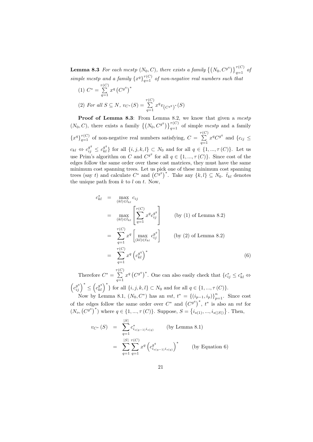**Lemma 8.3** For each mcstp  $(N_0, C)$ , there exists a family  $\left\{ (N_0, C^{g^q}) \right\}_{q=1}^{\tau(C)}$  of simple mestp and a family  $\{x^q\}_{q=1}^{\tau(C)}$  of non-negative real numbers such that

(1) 
$$
C^* = \sum_{q=1}^{\tau(C)} x^q (C^{g^q})^*
$$
  
\n(2) For all  $S \subseteq N$ ,  $v_{C^*}(S) = \sum_{q=1}^{\tau(C)} x^q v_{C^{g^q}}^*(S)$ 

Proof of Lemma 8.3: From Lemma 8.2, we know that given a mcstp  $(N_0, C)$ , there exists a family  $\{(N_0, C^{g^q})\}_{q=1}^{\tau(C)}$  of simple mcstp and a family  ${x^q}_{q=1}^{\tau(C)}$  of non-negative real numbers satisfying,  $C = \sum_{i=1}^{\tau(C)}$  $\sum_{q=1}^{\infty} x^q C^{g^q}$  and  $\{c_{ij} \leq$  $c_{kl} \Leftrightarrow c_{ij}^{g^q} \leq c_{kl}^{g^q}$  for all  $\{i, j, k, l\} \subset N_0$  and for all  $q \in \{1, ..., \tau(C)\}$ . Let us use Prim's algorithm on C and  $C^{g^q}$  for all  $q \in \{1, ..., \tau(C)\}$ . Since cost of the edges follow the same order over these cost matrices, they must have the same minimum cost spanning trees. Let us pick one of these minimum cost spanning trees (say t) and calculate  $C^*$  and  $(C^{g^q})^*$ . Take any  $\{k, l\} \subseteq N_0$ .  $\overline{t}_{kl}$  denotes the unique path from  $k$  to  $l$  on  $t$ . Now,

$$
c_{kl}^{*} = \max_{(kl) \in \bar{t}_{kl}} c_{ij}
$$
  
\n
$$
= \max_{(kl) \in \bar{t}_{kl}} \left[ \sum_{q=1}^{\tau(C)} x^{q} c_{ij}^{q} \right]
$$
 (by (1) of Lemma 8.2)  
\n
$$
= \sum_{q=1}^{\tau(C)} x^{q} \left[ \max_{(kl) \in \bar{t}_{kl}} c_{ij}^{q^{q}} \right]
$$
 (by (2) of Lemma 8.2)  
\n
$$
= \sum_{q=1}^{\tau(C)} x^{q} \left( c_{kl}^{q^{q}} \right)^{*}
$$
 (6)

Therefore  $C^* = \sum_{i=1}^{\tau(C)}$  $\sum_{q=1}^{N(V)} x^q (C^{q^q})^*$ . One can also easily check that  ${c_{ij}^* \leq c_{kl}^* \Leftrightarrow}$  $(c_{ij}^{g^q})^* \leq (c_{kl}^{g^q})^*$ } for all  $\{i, j, k, l\} \subset N_0$  and for all  $q \in \{1, ..., \tau(C)\}.$ 

Now by Lemma 8.1,  $(N_0, C^*)$  has an  $mt$ ,  $t^* = \{(i_{p-1}, i_p)\}_{p=1}^n$ . Since cost of the edges follow the same order over  $C^*$  and  $(C^{g^q})^*$ ,  $t^*$  is also an mt for  $(N_o, (C^{g^q})^*)$  where  $q \in \{1, ..., \tau(C)\}$ . Suppose,  $S = \{i_{s(1)}, ..., i_{s(|S|)}\}$ . Then,

$$
v_{C^*}(S) = \sum_{q=1}^{|S|} c^*_{i_{s(q-1)}i_{s(q)}} \qquad \text{(by Lemma 8.1)}
$$
  
= 
$$
\sum_{q=1}^{|S|} \sum_{q=1}^{\tau(C)} x^q \left( c^q_{i_{s(q-1)}i_{s(q)}} \right)^* \qquad \text{(by Equation 6)}
$$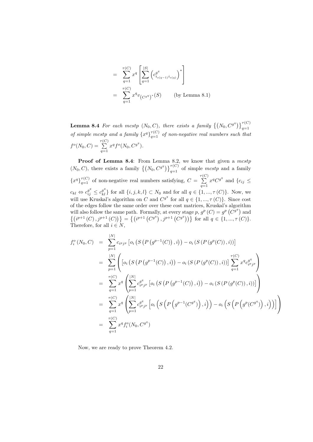$$
= \sum_{q=1}^{\tau(C)} x^q \left[ \sum_{q=1}^{|S|} \left( c_{i_{s(q-1)} i_{s(q)}}^{q^q} \right)^* \right]
$$
  

$$
= \sum_{q=1}^{\tau(C)} x^q v_{(C^{q^q})^*}(S) \qquad \text{(by Lemma 8.1)}
$$

**Lemma 8.4** For each mcstp  $(N_0, C)$ , there exists a family  $\left\{ (N_0, C^{g^q}) \right\}_{q=1}^{\tau(C)}$ of simple mestp and a family  $\{x^q\}_{q=1}^{\tau(C)}$  of non-negative real numbers such that  $f^o(N_0, C) = \sum_{n=0}^{\tau(C)}$  $\sum_{q=1}^{\infty} x^q f^o(N_0, C^{g^q}).$ 

**Proof of Lemma 8.4**: From Lemma 8.2, we know that given a mestp  $(N_0, C)$ , there exists a family  $\{(N_0, C^{g^q})\}_{q=1}^{\tau(C)}$  of simple mcstp and a family  ${x^q}_{q=1}^{\tau(C)}$  of non-negative real numbers satisfying,  $C = \sum_{i=1}^{\tau(C)}$  $\sum_{q=1}^{\infty} x^q C^{g^q}$  and  $\{c_{ij} \leq$  $c_{kl} \Leftrightarrow c_{ij}^{g^q} \leq c_{kl}^{g^q}$  for all  $\{i, j, k, l\} \subset N_0$  and for all  $q \in \{1, ..., \tau(C)\}$ . Now, we will use Kruskal's algorithm on C and  $C^{g^q}$  for all  $q \in \{1, ..., \tau(C)\}$ . Since cost of the edges follow the same order over these cost matrices, Kruskal's algorithm will also follow the same path. Formally, at every stage p,  $g^p(C) = g^p(C^g)$  and  $\{(i^{p+1}(C), j^{p+1}(C))\} = \{(i^{p+1}(C^{g^q}), j^{p+1}(C^{g^q}))\}$  for all  $q \in \{1, ..., \tau(C)\}.$ Therefore, for all  $i \in N$ ,

$$
f_i^o(N_0, C) = \sum_{p=1}^{|N|} c_{i^p j^p} \left[ o_i \left( S \left( P \left( g^{p-1}(C) \right), i \right) \right) - o_i \left( S \left( P \left( g^p(C) \right), i \right) \right) \right]
$$
  
\n
$$
= \sum_{p=1}^{|N|} \left( \left[ o_i \left( S \left( P \left( g^{p-1}(C) \right), i \right) \right) - o_i \left( S \left( P \left( g^p(C) \right), i \right) \right) \right] \sum_{q=1}^{\tau(C)} x^q c_{i^p j^p}^{q^q} \right)
$$
  
\n
$$
= \sum_{q=1}^{\tau(C)} x^q \left( \sum_{p=1}^{|N|} c_{i^p j^p}^{q^q} \left[ o_i \left( S \left( P \left( g^{p-1}(C) \right), i \right) \right) - o_i \left( S \left( P \left( g^p(C) \right), i \right) \right) \right] \right)
$$
  
\n
$$
= \sum_{q=1}^{\tau(C)} x^q \left( \sum_{p=1}^{|N|} c_{i^p j^p}^{q^q} \left[ o_i \left( S \left( P \left( g^{p-1}(C^{g^q}) \right), i \right) \right) - o_i \left( S \left( P \left( g^p(C^{g^q}) \right), i \right) \right) \right] \right)
$$
  
\n
$$
= \sum_{q=1}^{\tau(C)} x^q f_i^o(N_0, C^{g^q})
$$

Now, we are ready to prove Theorem 4.2.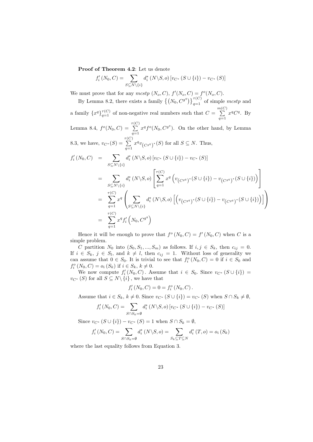Proof of Theorem 4.2: Let us denote

$$
f'_{i}(N_{0}, C) = \sum_{S \subseteq N \setminus \{i\}} d_{i}^{*}(N \setminus S, o) [v_{C^{*}}(S \cup \{i\}) - v_{C^{*}}(S)]
$$

We must prove that for any mcstp  $(N_o, C)$ ,  $f'(N_o, C) = f^o(N_o, C)$ .

By Lemma 8.2, there exists a family  $\{(N_0, C^{g^q})\}_{q=1}^{\tau(C)}$  of simple mcstp and a family  $\{x^q\}_{q=1}^{\tau(C)}$  of non-negative real numbers such that  $C = \sum_{n=1}^{m(C)}$  $\sum_{q=1}^{\infty} x^q C^q$ . By Lemma 8.4,  $f^o(N_0, C) = \sum_{r(S)}^{r(C)}$  $\sum_{q=1}^{\infty} x^q f^o(N_0, C^{g^q})$ . On the other hand, by Lemma 8.3, we have,  $v_{C^*}(S) = \sum_{i=1}^{\tau(C)}$  $\sum_{q=1}^{\infty} x^q v_{(C^{g^q})^*}(S)$  for all  $S \subseteq N$ . Thus,

$$
f'_{i}(N_{0},C) = \sum_{S \subseteq N \setminus \{i\}} d_{i}^{*}(N \setminus S, o) [v_{C^{*}}(S \cup \{i\}) - v_{C^{*}}(S)]
$$
  
\n
$$
= \sum_{S \subseteq N \setminus \{i\}} d_{i}^{*}(N \setminus S, o) \left[ \sum_{q=1}^{\tau(C)} x^{q} \left( v_{(C^{g^{q}})^{*}}(S \cup \{i\}) - v_{(C^{g^{q}})^{*}}(S \cup \{i\}) \right) \right]
$$
  
\n
$$
= \sum_{q=1}^{\tau(C)} x^{q} \left( \sum_{S \subseteq N \setminus \{i\}} d_{i}^{*}(N \setminus S, o) \left[ \left( v_{(C^{g^{q}})^{*}}(S \cup \{i\}) - v_{(C^{g^{q}})^{*}}(S \cup \{i\}) \right) \right] \right)
$$
  
\n
$$
= \sum_{q=1}^{\tau(C)} x^{q} f'_{i} \left( N_{0}, C^{g^{q}} \right)
$$

Hence it will be enough to prove that  $f^o(N_0, C) = f'(N_0, C)$  when C is a simple problem.

C partition  $N_0$  into  $(S_0, S_1, ..., S_m)$  as follows. If  $i, j \in S_k$ , then  $c_{ij} = 0$ . If  $i \in S_k$ ,  $j \in S_l$ , and  $k \neq l$ , then  $c_{ij} = 1$ . Without loss of generality we can assume that  $0 \in S_0$ . It is trivial to see that  $f_i^o(N_0, C) = 0$  if  $i \in S_0$  and  $f_i^o(N_0, C) = o_i(S_k)$  if  $i \in S_k, k \neq 0$ .

We now compute  $f'_{i}(N_0, C)$ . Assume that  $i \in S_0$ . Since  $v_{C^*}(S \cup \{i\}) =$  $v_{C^*}(S)$  for all  $S \subseteq N \setminus \{i\}$ , we have that

$$
f'_{i}(N_{0}, C) = 0 = f_{i}^{o}(N_{0}, C).
$$

Assume that  $i \in S_k$ ,  $k \neq 0$ . Since  $v_{C^*} (S \cup \{i\}) = v_{C^*} (S)$  when  $S \cap S_k \neq \emptyset$ ,

$$
f'_{i}(N_{0}, C) = \sum_{S \cap S_{k} = \emptyset} d_{i}^{*}(N \backslash S, o) \left[ v_{C^{*}}(S \cup \{i\}) - v_{C^{*}}(S) \right]
$$

Since  $v_{C^*}(S \cup \{i\}) - v_{C^*}(S) = 1$  when  $S \cap S_k = \emptyset$ ,

$$
f'_{i}(N_{0}, C) = \sum_{S \cap S_{k} = \emptyset} d_{i}^{*}(N \setminus S, o) = \sum_{S_{k} \subseteq T \subseteq N} d_{i}^{*}(T, o) = o_{i}(S_{k})
$$

where the last equality follows from Equation 3.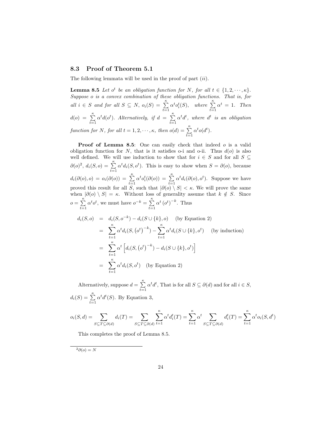### 8.3 Proof of Theorem 5.1

The following lemmata will be used in the proof of part  $(ii)$ .

**Lemma 8.5** Let  $o^t$  be an obligation function for N, for all  $t \in \{1, 2, \dots, \kappa\}.$ Suppose o is a convex combination of these obligation functions. That is, for all  $i \in S$  and for all  $S \subseteq N$ ,  $o_i(S) = \sum_{t=1}^{\kappa} \alpha^t o_i^t(S)$ , where  $\sum_{t=1}^{\kappa} \alpha^t = 1$ . Then  $d(o) = \sum_{t=1}^{\kappa} \alpha^t d(o^t)$ . Alternatively, if  $d = \sum_{t=1}^{\kappa}$  $\sum_{t=1} \alpha^t d^t$ , where  $d^t$  is an obligation function for N, for all  $t = 1, 2, \dots, \kappa$ , then  $o(d) = \sum_{t=1}^{\kappa} \alpha^t o(d^t)$ .

Proof of Lemma 8.5: One can easily check that indeed o is a valid obligation function for  $N$ , that is it satisfies o-i and o-ii. Thus  $d(o)$  is also well defined. We will use induction to show that for  $i \in S$  and for all  $S \subseteq$  $\partial(\rho)^2$ ,  $d_i(S, \rho) = \sum_{t=1}^{\kappa} \alpha^t d_i(S, \rho^t)$ . This is easy to show when  $S = \partial(\rho)$ , because  $d_i(\partial(o), o) = o_i(\partial(o)) = \sum_{t=1}^{\kappa} \alpha^t o_i^t(\partial(o)) = \sum_{t=1}^{\kappa} \alpha^t d_i(\partial(o), o^t)$ . Suppose we have proved this result for all  $\overline{S}$ , such that  $|\partial(\overline{o}) \setminus S| < \kappa$ . We will prove the same when  $|\partial(\rho) \setminus S| = \kappa$ . Without loss of generality assume that  $k \notin S$ . Since  $o = \sum_{k=1}^{\infty}$  $\sum_{t=1}^{\kappa} \alpha^t o^t$ , we must have  $o^{-k} = \sum_{t=1}^{\kappa}$  $\sum_{t=1}^{k} \alpha^{t} (\sigma^{t})^{-k}$ . Thus

$$
d_i(S, o) = d_i(S, o^{-k}) - d_i(S \cup \{k\}, o)
$$
 (by Equation 2)  
\n
$$
= \sum_{t=1}^{\kappa} \alpha^t d_i(S, (o^t)^{-k}) - \sum_{t=1}^{\kappa} \alpha^t d_i(S \cup \{k\}, o^t)
$$
 (by induction)  
\n
$$
= \sum_{t=1}^{\kappa} \alpha^t \left[ d_i(S, (o^t)^{-k}) - d_i(S \cup \{k\}, o^t) \right]
$$
  
\n
$$
= \sum_{t=1}^{\kappa} \alpha^t d_i(S, o^t)
$$
 (by Equation 2)

Alternatively, suppose  $d = \sum_{k=1}^{\kappa}$  $\sum_{t=1} \alpha^t d^t$ , That is for all  $S \subseteq \partial(d)$  and for all  $i \in S$ ,  $d_i(S) = \sum_{t=1}^{\kappa} \alpha^t d^t(S)$ . By Equation 3,

$$
o_i(S, d) = \sum_{S \subseteq T \subseteq \partial(d)} d_i(T) = \sum_{S \subseteq T \subseteq \partial(d)} \sum_{t=1}^{\kappa} \alpha^t d_i^t(T) = \sum_{t=1}^{\kappa} \alpha^t \sum_{S \subseteq T \subseteq \partial(d)} d_i^t(T) = \sum_{t=1}^{\kappa} \alpha^t o_i(S, d^t)
$$

This completes the proof of Lemma 8.5.

 $^{2}\partial(o) = N$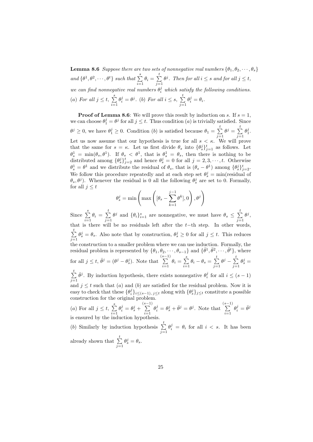**Lemma 8.6** Suppose there are two sets of nonnegative real numbers  $\{\theta_1, \theta_2, \dots, \theta_s\}$ and  $\{\theta^1, \theta^2, \cdots, \theta^t\}$  such that  $\sum^s$  $\sum_{i=1}^s \theta_i = \sum_{j=1}^t$  $j=1$  $\theta^j$ . Then for all  $i \leq s$  and for all  $j \leq t$ , we can find nonnegative real numbers  $\theta_i^j$  which satisfy the following conditions. (a) For all  $j \leq t$ ,  $\sum_{i=1}^{s}$  $i=1$  $\theta_i^j = \theta^j$ . (b) For all  $i \leq s$ ,  $\sum_{i=1}^t$  $j=1$  $\theta_i^j = \theta_i.$ 

**Proof of Lemma 8.6:** We will prove this result by induction on s. If  $s = 1$ , we can choose  $\theta_1^j = \theta^j$  for all  $j \leq t$ . Thus condition (*a*) is trivially satisfied. Since  $\theta^j \geq 0$ , we have  $\theta_1^j \geq 0$ . Condition (b) is satisfied because  $\theta_1 = \sum_{i=1}^t \theta_i^j$  $j=1$  $\theta^j = \sum^t$  $j=1$  $\theta_1^j$ . Let us now assume that our hypothesis is true for all  $s < \kappa$ . We will prove that the same for  $s = \kappa$ . Let us first divide  $\theta_s$  into  $\{\theta_s^j\}_{j=1}^t$  as follows. Let  $\theta_s^1 = \min(\theta_s, \theta^1)$ . If  $\theta_s < \theta^1$ , that is  $\theta_s^1 = \theta_s$ , then there is nothing to be distributed among  $\{\theta_s^j\}_{j=2}^t$  and hence  $\theta_s^j = 0$  for all  $j = 2, 3, \dots, t$ . Otherwise  $\theta_s^1 = \theta^1$  and we distribute the residual of  $\theta_s$ , that is  $(\theta_s - \theta^1)$  among  $\{\theta_s^j\}_{j=2}^t$ . We follow this procedure repeatedly and at each step set  $\theta_s^j = \min(\text{residual of})$  $\theta_s$ ,  $\theta^j$ ). Whenever the residual is 0 all the following  $\theta_s^j$  are set to 0. Formally, for all  $j \leq t$ 

$$
\theta_s^j = \min\left(\max\left([\theta_s - \sum_{k=1}^{j-1} \theta^k], 0\right), \theta^j\right)
$$

Since  $\sum_{i=1}^{s}$  $\sum_{i=1}^s \theta_i = \sum_{j=1}^t$  $j=1$  $\theta^j$  and  $\{\theta_i\}_{i=1}^s$  are nonnegative, we must have  $\theta_s \leq \sum_{i=1}^t$  $j=1$  $\theta^j,$ that is there will be no residuals left after the  $t$ −th step. In other words,  $\sum_{i=1}^{t}$  $j=1$  $\theta_s^j = \theta_s$ . Also note that by construction,  $\theta_s^j \geq 0$  for all  $j \leq t$ . This reduces the construction to a smaller problem where we can use induction. Formally, the residual problem is represented by  $\{\theta_1, \theta_2, \dots, \theta_{s-1}\}\$  and {  $\bar{\theta}^1, \bar{\theta}^2, \cdots, \bar{\theta}^t\},$  where for all  $j \leq t$ ,  $\bar{\theta}^j = (\theta^j - \theta_s^j)$ . Note that  $\sum^{(s-1)}$  $\sum_{i=1}^{s-1} \theta_i = \sum_{i=1}^{s}$  $\sum_{i=1}^s \theta_i - \theta_s = \sum_{j=1}^t$  $j=1$  $\theta^j - \sum^t$  $j=1$  $\theta_s^j =$  $\sum_{i=1}^{t}$  $j=1$  $\bar{\theta}^j$ . By induction hypothesis, there exists nonnegative  $\theta_i^j$  for all  $i \leq (s-1)$ j and  $j \leq t$  such that  $(a)$  and  $(b)$  are satisfied for the residual problem. Now it is easy to check that these  $\{\theta_i^j\}_{i \leq (s-1), j \leq t}$  along with  $\{\theta_s^j\}_{j \leq t}$  constitute a possible construction for the original problem. (a) For all  $j \leq t$ ,  $\sum_{i=1}^{s}$  $\theta_i^j = \theta_s^j + \sum\limits_{i = 1}^{(s-1)}$  $\theta_i^j = \theta_s^j + \bar{\theta}^j = \theta^j$ . Note that  $\sum^{(s-1)}$  $\theta_i^j = \bar{\theta}^j$ 

 $i=1$  $i=1$  $i=1$ is ensured by the induction hypothesis. (b) Similarly by induction hypothesis  $\sum_{i=1}^{t}$  $\theta_i^j = \theta_i$  for all  $i < s$ . It has been

 $j=1$ 

already shown that  $\sum_{i=1}^{t}$  $j=1$  $\theta_s^j = \theta_s.$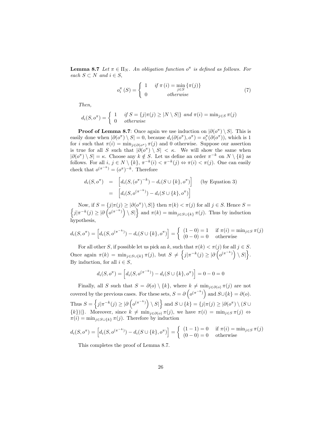**Lemma 8.7** Let  $\pi \in \Pi_N$ . An obligation function  $o^{\pi}$  is defined as follows. For each  $S \subset N$  and  $i \in S$ ,

$$
o_i^{\pi}(S) = \begin{cases} 1 & if \pi(i) = \min_{j \in S} {\{\pi(j)\}} \\ 0 & otherwise \end{cases}
$$
 (7)

Then,

$$
d_i(S, o^{\pi}) = \begin{cases} 1 & \text{if } S = \{j | \pi(j) \ge |N \setminus S| \} \text{ and } \pi(i) = \min_{j \in S} \pi(j) \\ 0 & otherwise \end{cases}
$$

**Proof of Lemma 8.7**: Once again we use induction on  $|\partial(\rho^{\pi}) \setminus S|$ . This is easily done when  $|\partial(\sigma^{\pi}) \setminus S| = 0$ , because  $d_i(\partial(\sigma^{\pi}), \sigma^{\pi}) = o_i^{\pi}(\partial(\sigma^{\pi}))$ , which is 1 for *i* such that  $\pi(i) = \min_{j \in \partial(\sigma^{\pi})} \pi(j)$  and 0 otherwise. Suppose our assertion is true for all S such that  $|\partial(\overline{\rho}^{\pi}) \setminus S| < \kappa$ . We will show the same when  $|\partial(\rho^{\pi}) \setminus S| = \kappa$ . Choose any  $k \notin S$ . Let us define an order  $\pi^{-k}$  on  $N \setminus \{k\}$  as follows. For all  $i, j \in N \setminus \{k\}, \pi^{-k}(i) < \pi^{-k}(j) \Leftrightarrow \pi(i) < \pi(j)$ . One can easily check that  $o^{(\pi^{-k})} = (o^{\pi})^{-k}$ . Therefore

$$
d_i(S, o^{\pi}) = \left[ d_i(S, (o^{\pi})^{-k}) - d_i(S \cup \{k\}, o^{\pi}) \right] \quad \text{(by Equation 3)}
$$

$$
= \left[ d_i(S, o^{(\pi^{-k})}) - d_i(S \cup \{k\}, o^{\pi}) \right]
$$

Now, if  $S = \{j | \pi(j) \geq |\partial(\sigma^{\pi}) \setminus S| \}$  then  $\pi(k) < \pi(j)$  for all  $j \in S$ . Hence  $S =$  $\left\{j|\pi^{-k}(j) \geq |\partial \left(o^{(\pi^{-k})}\right) \setminus S|\right\}$  and  $\pi(k) = \min_{j \in S \cup \{k\}} \pi(j)$ . Thus by induction hypothesis,

$$
d_i(S, o^{\pi}) = [d_i(S, o^{(\pi^{-k})}) - d_i(S \cup \{k\}, o^{\pi})] = \begin{cases} (1 - 0) = 1 & \text{if } \pi(i) = \min_{j \in S} \pi(j) \\ (0 - 0) = 0 & \text{otherwise} \end{cases}
$$

For all other S, if possible let us pick an k, such that  $\pi(k) < \pi(j)$  for all  $j \in S$ . Once again  $\pi(k) = \min_{j \in S \cup \{k\}} \pi(j)$ , but  $S \neq \left\{ j | \pi^{-k}(j) \geq |\partial \left( o^{(\pi^{-k})} \right) \setminus S| \right\}$ . By induction, for all  $i \in S$ ,

$$
d_i(S, o^{\pi}) = [d_i(S, o^{(\pi^{-k})}) - d_i(S \cup \{k\}, o^{\pi})] = 0 - 0 = 0
$$

Finally, all S such that  $S = \partial(o) \setminus \{k\}$ , where  $k \neq \min_{i \in \partial(o)} \pi(j)$  are not covered by the previous cases. For these sets,  $S = \partial \left( o^{(\pi^{-k})} \right)$  and  $S \cup \{k\} = \partial o$ . Thus  $S = \left\{j|\pi^{-k}(j) \geq |\partial \left(o^{(\pi^{-k})}\right) \setminus S|\right\}$  and  $S \cup \{k\} = \left\{j|\pi(j) \geq |\partial(o^{\pi}) \setminus (S \cup S)|\right\}$  ${k}$ )|}. Moreover, since  $\hat{k} \neq \min_{j \in \partial(o)} \pi(j)$ , we have  $\pi(i) = \min_{j \in S} \pi(j) \Leftrightarrow$  $\pi(i) = \min_{j \in S \cup \{k\}} \pi(j)$ . Therefore by induction

$$
d_i(S, o^{\pi}) = [d_i(S, o^{(\pi^{-k})}) - d_i(S \cup \{k\}, o^{\pi})] = \begin{cases} (1-1) = 0 & \text{if } \pi(i) = \min_{j \in S} \pi(j) \\ (0-0) = 0 & \text{otherwise} \end{cases}
$$

This completes the proof of Lemma 8.7.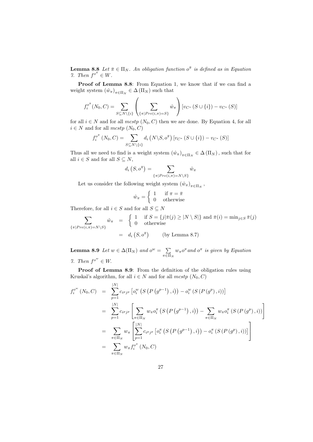**Lemma 8.8** Let  $\bar{\pi} \in \Pi_N$ . An obligation function  $o^{\bar{\pi}}$  is defined as in Equation 7. Then  $f^{\circ^{\bar{\pi}}} \in W$ .

Proof of Lemma 8.8: From Equation 1, we know that if we can find a weight system  $(\hat{w}_{\pi})_{\pi \in \Pi_N} \in \Delta(\Pi_N)$  such that

$$
f_i^{o^{\pi}}(N_0, C) = \sum_{S \subseteq N \setminus \{i\}} \left( \sum_{\{\pi | Pre(i,\pi) = S\}} \hat{w}_{\pi} \right) [v_{C^*} (S \cup \{i\}) - v_{C^*} (S)]
$$

for all  $i \in N$  and for all  $mcstp (N_0, C)$  then we are done. By Equation 4, for all  $i \in N$  and for all  $mcstp(N_0, C)$ 

$$
f_i^{\sigma^{\bar{\pi}}}(N_0, C) = \sum_{S \subseteq N \setminus \{i\}} d_i \left( N \setminus S, \sigma^{\bar{\pi}} \right) [v_{C^*}(S \cup \{i\}) - v_{C^*}(S)]
$$

Thus all we need to find is a weight system  $(\hat{w}_{\pi})_{\pi \in \Pi_N} \in \Delta(\Pi_N)$ , such that for all  $i \in S$  and for all  $S \subseteq N$ ,

$$
d_i\left(S, o^{\bar{\pi}}\right) = \sum_{\{\pi \mid Pre(i,\pi) = N \setminus S\}} \hat{w}_{\pi}
$$

Let us consider the following weight system  $(\hat{w}_{\pi})_{\pi \in \Pi_N}$ ,

$$
\hat{w}_{\pi} = \begin{cases} 1 & \text{if } \pi = \bar{\pi} \\ 0 & \text{otherwise} \end{cases}
$$

Therefore, for all  $i \in S$  and for all  $S \subseteq N$ 

$$
\sum_{\{\pi \mid Pre(i,\pi) = N \setminus S\}} \hat{w}_{\pi} = \begin{cases} 1 & \text{if } S = \{j | \bar{\pi}(j) \ge |N \setminus S| \} \text{ and } \bar{\pi}(i) = \min_{j \in S} \bar{\pi}(j) \\ 0 & \text{otherwise} \end{cases}
$$

$$
= d_i (S, o^{\bar{\pi}}) \qquad \text{(by Lemma 8.7)}
$$

**Lemma 8.9** Let  $w \in \Delta(\Pi_N)$  and  $o^w = \sum$  $\sum_{\pi \in \Pi_N} w_{\pi} o^{\pi}$  and  $o^{\pi}$  is given by Equation 7. Then  $f^{o^w} \in W$ .

Proof of Lemma 8.9: From the definition of the obligation rules using Kruskal's algorithm, for all  $i \in N$  and for all  $mcstp$   $(N_0, C)$ 

$$
f_i^{o^w} (N_0, C) = \sum_{p=1}^{|N|} c_{i^p j^p} \left[ o_i^w \left( S \left( P \left( g^{p-1} \right), i \right) \right) - o_i^w \left( S \left( P \left( g^p \right), i \right) \right) \right]
$$
  
\n
$$
= \sum_{p=1}^{|N|} c_{i^p j^p} \left[ \sum_{\pi \in \Pi_N} w_{\pi} o_i^{\pi} \left( S \left( P \left( g^{p-1} \right), i \right) \right) - \sum_{\pi \in \Pi_N} w_{\pi} o_i^{\pi} \left( S \left( P \left( g^p \right), i \right) \right) \right]
$$
  
\n
$$
= \sum_{\pi \in \Pi_N} w_{\pi} \left[ \sum_{p=1}^{|N|} c_{i^p j^p} \left[ o_i^{\pi} \left( S \left( P \left( g^{p-1} \right), i \right) \right) - o_i^{\pi} \left( S \left( P \left( g^p \right), i \right) \right) \right] \right]
$$
  
\n
$$
= \sum_{\pi \in \Pi_N} w_{\pi} f_i^{o^{\pi}} (N_0, C)
$$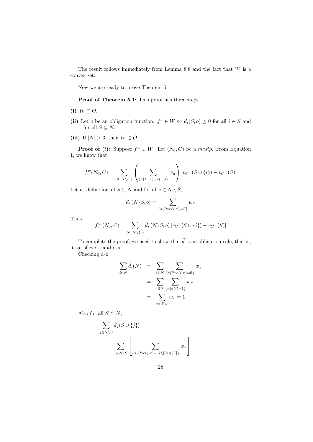The result follows immediately from Lemma 8.8 and the fact that  $W$  is a convex set.

Now we are ready to prove Theorem 5.1.

Proof of Theorem 5.1: This proof has three steps.

- (i)  $W \subseteq O$ .
- (ii) Let *o* be an obligation function.  $f^o \in W \Leftrightarrow d_i(S, o) \geq 0$  for all  $i \in S$  and for all  $S \subseteq N$ .
- (iii) If  $|N| > 3$ , then  $W \subset O$ .

**Proof of (i):** Suppose  $f^w \in W$ . Let  $(N_0, C)$  be a mestp. From Equation 1, we know that

$$
f_i^w(N_0, C) = \sum_{S \subseteq N \setminus \{i\}} \left( \sum_{\{\pi | Pre(i,\pi) = S\}} w_{\pi} \right) [v_{C^*} (S \cup \{i\}) - v_{C^*} (S)]
$$

Let us define for all  $S \subseteq N$  and for all  $i \in N \setminus S,$ 

$$
\hat{d}_i\left(N\backslash S, o\right) = \sum_{\{\pi \mid Pre(i,\pi)=S\}} w_{\pi}
$$

Thus

$$
f_i^w(N_0, C) = \sum_{S \subseteq N \setminus \{i\}} \hat{d}_i (N \setminus S, o) [v_{C^*} (S \cup \{i\}) - v_{C^*} (S)]
$$

To complete the proof, we need to show that  $\hat{d}$  is an obligation rule, that is, it satisfies d-i and d-ii.

Checking d-i:

$$
\sum_{i \in N} \hat{d}_i(N) = \sum_{i \in N} \sum_{\{\pi | Pre(i,\pi) = \emptyset\}} w_{\pi}
$$

$$
= \sum_{i \in N} \sum_{\{\pi | \pi(i) = 1\}} w_{\pi}
$$

$$
= \sum_{\pi \in \Pi_N} w_{\pi} = 1
$$

Also for all  $S \subset N$ ,

$$
\sum_{j \in N \setminus S} \hat{d}_j(S \cup \{j\})
$$
\n
$$
= \sum_{j \in N \setminus S} \left[ \sum_{\{\pi | Pre(j,\pi) = N \setminus [S \cup \{j\}]\}} w_{\pi} \right]
$$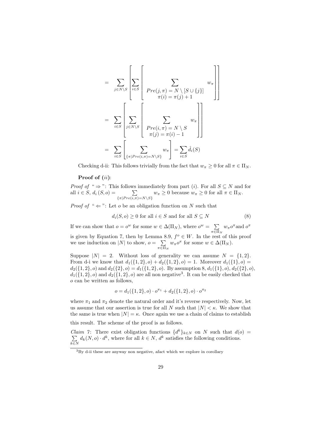$$
= \sum_{j \in N \setminus S} \left[ \sum_{i \in S} \left[ \sum_{f \in S \setminus S} \left[ \sum_{Pre(j,\pi) = N \setminus [S \cup \{j\}]} w_{\pi} \right] \right] \right]
$$

$$
= \sum_{i \in S} \left[ \sum_{j \in N \setminus S} \left[ \sum_{Pre(i,\pi) = N \setminus S} w_{\pi} \right] \right]
$$

$$
= \sum_{i \in S} \left[ \sum_{\{\pi | Pre(i,\pi) = N \setminus S\}} w_{\pi} \right] = \sum_{i \in S} \hat{d}_{i}(S)
$$

Checking d-ii: This follows trivially from the fact that  $w_{\pi} \geq 0$  for all  $\pi \in \Pi_N$ .

#### Proof of  $(ii)$ :

*Proof of* "  $\Rightarrow$ ": This follows immediately from part (*i*). For all  $S \subseteq N$  and for all  $i \in S$ ,  $d_i(S, o) = \sum_{\{\pi | Pre(i, \pi) = N \setminus S\}} w_{\pi} \ge 0$  because  $w_{\pi} \ge 0$  for all  $\pi \in \Pi_N$ .

*Proof of* " $\Leftarrow$ ": Let *o* be an obligation function on *N* such that

$$
d_i(S, o) \ge 0 \text{ for all } i \in S \text{ and for all } S \subseteq N \tag{8}
$$

If we can show that  $o = o^w$  for some  $w \in \Delta(\Pi_N)$ , where  $o^w = \sum$  $\sum_{\pi \in \Pi_N} w_{\pi} o^{\pi}$  and  $o^{\pi}$ is given by Equation 7, then by Lemma 8.9,  $f^{\circ} \in W$ . In the rest of this proof we use induction on |N| to show,  $o = \sum$  $\sum_{\pi \in \Pi_N} w_{\pi} o^{\pi}$  for some  $w \in \Delta(\Pi_N)$ .

Suppose  $|N| = 2$ . Without loss of generality we can assume  $N = \{1, 2\}$ . From d-i we know that  $d_1({1, 2}, 0) + d_2({1, 2}, 0) = 1$ . Moreover  $d_1({1}, 0) =$  $d_2({1, 2}, o)$  and  $d_2({2}, o) = d_1({1, 2}, o)$ . By assumption 8,  $d_1({1}, o)$ ,  $d_2({2}, o)$ ,  $d_1({1, 2}, o)$  and  $d_2({1, 2}, o)$  are all non negative<sup>3</sup>. It can be easily checked that o can be written as follows,

$$
o = d_1(\{1, 2\}, o) \cdot o^{\pi_1} + d_2(\{1, 2\}, o) \cdot o^{\pi_2}
$$

where  $\pi_1$  and  $\pi_2$  denote the natural order and it's reverse respectively. Now, let us assume that our assertion is true for all N such that  $|N| < \kappa$ . We show that the same is true when  $|N| = \kappa$ . Once again we use a chain of claims to establish

this result. The scheme of the proof is as follows.

*Claim 7*: There exist obligation functions  $\{d^k\}$  $\sum$  $\}_{k\in\mathbb{N}}$  on N such that  $d(o)$  =  $\sum_{k \in N} d_k(N, o) \cdot d^k$ , where for all  $k \in N$ ,  $d^k$  satisfies the following conditions.

<sup>3</sup>By d-ii these are anyway non negative, afact which we explore in corollary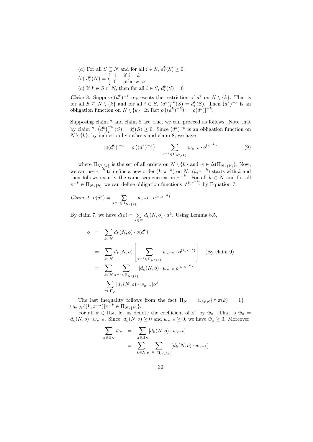- (a) For all  $S \subseteq N$  and for all  $i \in S$ ,  $d_i^k(S) \geq 0$ .
- (b)  $d_i^k(N) = \begin{cases} 1 & \text{if } i = k \\ 0 & \text{otherwise} \end{cases}$ 0 otherwise (c) If  $k \in S \subset N$ , then for all  $i \in S$ ,  $d_i^k(S) = 0$

*Claim* 8: Suppose  $(d^k)^{-k}$  represents the restriction of  $d^k$  on  $N \setminus \{k\}$ . That is for all  $S \subseteq N \setminus \{k\}$  and for all  $i \in S$ ,  $(d^k)^{-k} \choose i (S) = d^k_i(S)$ . Then  $(d^k)^{-k}$  is an obligation function on  $N \setminus \{k\}$ . In fact  $o((d^k)^{-k}) = [o(d^k)]^{-k}$ .

Supposing claim 7 and claim 8 are true, we can proceed as follows. Note that by claim 7,  $(d^k)^{-k}$   $(S) = d_i^k(S) \geq 0$ . Since  $(d^k)^{-k}$  is an obligation function on  $N \setminus \{k\}$ , by induction hypothesis and claim 8, we have

$$
[o(d^k)]^{-k} = o((d^k)^{-k}) = \sum_{\pi^{-k} \in \Pi_N \setminus \{k\}} w_{\pi^{-k}} \cdot o^{(\pi^{-k})}
$$
(9)

where  $\Pi_{N\setminus\{k\}}$  is the set of all orders on  $N\setminus\{k\}$  and  $w\in\Delta(\Pi_{N\setminus\{k\}})$ . Now, we can use  $\pi^{-k}$  to define a new order  $(k, \pi^{-k})$  on N.  $(k, \pi^{-k})$  starts with k and then follows exactly the same sequence as in  $\pi^{-k}$ . For all  $k \in N$  and for all  $\pi^{-k} \in \Pi_{N \setminus \{k\}}$  we can define obligation functions  $o^{(k,\pi^{-k})}$  by Equation 7.

$$
Claim\ 9: o(d^k) = \sum_{\pi^{-k} \in \Pi_N \setminus \{k\}} w_{\pi^{-k}} \cdot o^{(k, \pi^{-k})}
$$

By claim 7, we have  $d(o) = \sum$  $\sum_{k \in N} d_k(N, o) \cdot d^k$ . Using Lemma 8.5,

$$
o = \sum_{k \in N} d_k(N, o) \cdot o(d^k)
$$
  
\n
$$
= \sum_{k \in N} d_k(N, o) \left[ \sum_{\pi^{-k} \in \Pi_{N \setminus \{k\}}} w_{\pi^{-k}} \cdot o^{(k, \pi^{-k})} \right]
$$
 (By claim 9)  
\n
$$
= \sum_{k \in N} \sum_{\pi^{-k} \in \Pi_{N \setminus \{k\}}} [d_k(N, o) \cdot w_{\pi^{-k}}] o^{(k, \pi^{-k})}
$$
  
\n
$$
= \sum_{\pi \in \Pi_N} [d_k(N, o) \cdot w_{\pi^{-k}}] o^{\pi}
$$

The last inequality follows from the fact  $\Pi_N = \bigcup_{k \in N} {\pi | \pi(k) = 1}$  $\cup_{k \in N} \{ (k, \pi^{-k}) | \pi^{-k} \in \Pi_{N \setminus \{k\}} \}.$ 

For all  $\pi \in \Pi_N$ , let us denote the coefficient of  $o^{\pi}$  by  $\bar{w}_{\pi}$ . That is  $\bar{w}_{\pi} =$  $d_k(N, o) \cdot w_{\pi^{-k}}$ . Since,  $d_k(N, o) \geq 0$  and  $w_{\pi^{-k}} \geq 0$ , we have  $\bar{w}_{\pi} \geq 0$ . Moreover

$$
\sum_{\pi \in \Pi_N} \bar{w}_{\pi} = \sum_{\pi \in \Pi_N} [d_k(N, o) \cdot w_{\pi^{-k}}]
$$

$$
= \sum_{k \in N} \sum_{\pi^{-k} \in \Pi_N \setminus \{k\}} [d_k(N, o) \cdot w_{\pi^{-k}}]
$$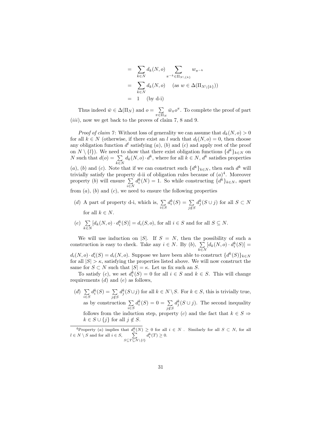$$
= \sum_{k \in N} d_k(N, o) \sum_{\pi^{-k} \in \Pi_{N \setminus \{k\}}} w_{\pi^{-k}}
$$
  

$$
= \sum_{k \in N} d_k(N, o) \quad (\text{as } w \in \Delta(\Pi_{N \setminus \{k\}}))
$$
  

$$
= 1 \quad \text{(by d-i)}
$$

Thus indeed  $\bar{w} \in \Delta(\Pi_N)$  and  $o = \sum$  $\sum_{\pi \in \Pi_N} \bar{w}_{\pi} o^{\pi}$ . To complete the proof of part  $(iii)$ , now we get back to the proves of claim 7, 8 and 9.

*Proof of claim 7*: Without loss of generality we can assume that  $d_k(N, o) > 0$ for all  $k \in N$  (otherwise, if there exist an l such that  $d_l(N, o) = 0$ , then choose any obligation function  $d^l$  satisfying  $(a)$ ,  $(b)$  and  $(c)$  and apply rest of the proof on  $N \setminus \{l\}$ ). We need to show that there exist obligation functions  $\{d^k\}_{k \in N}$  on N such that  $d(o) = \sum$  $\sum_{k \in N} d_k(N, o) \cdot d^k$ , where for all  $k \in N$ ,  $d^k$  satisfies properties (a), (b) and (c). Note that if we can construct such  $\{d^k\}_{k\in\mathbb{N}}$ , then each  $d^k$  will trivially satisfy the property d-ii of obligation rules because of  $(a)^4$ . Moreover property (b) will ensure  $\Sigma$ i∈N  $d_i^k(N) = 1$ . So while constructing  $\{d^k\}_{k \in N}$ , apart

from  $(a)$ ,  $(b)$  and  $(c)$ , we need to ensure the following properties

- (d) A part of property d-i, which is,  $\Sigma$ i∈S  $d_i^k(S) = \sum$ j /∈S  $d_j^k(S \cup j)$  for all  $S \subset N$ for all  $k \in N$ .
- $(e) \sum$  $\sum_{k \in N} [d_k(N, o) \cdot d_i^k(S)] = d_i(S, o)$ , for all  $i \in S$  and for all  $S \subseteq N$ .

We will use induction on |S|. If  $S = N$ , then the possibility of such a construction is easy to check. Take any  $i \in N$ . By  $(b)$ ,  $\sum$  $\sum_{k\in N} [d_k(N,o)\cdot d_i^k(S)] =$  $d_i(N, o) \cdot d_i^i(S) = d_i(N, o)$ . Suppose we have been able to construct  $\{d^k(S)\}_{k \in N}$ for all  $|S| > \kappa$ , satisfying the properties listed above. We will now construct the same for  $S \subset N$  such that  $|S| = \kappa$ . Let us fix such an S.

To satisfy (c), we set  $d_i^k(S) = 0$  for all  $i \in S$  and  $k \in S$ . This will change requirements  $(d)$  and  $(e)$  as follows,

 $(d) \sum$ i∈S  $d_i^k(S) = \sum$ j /∈S  $d_j^k(S \cup j)$  for all  $k \in N \setminus S$ . For  $k \in S$ , this is trivially true, as by construction  $\Sigma$ i∈S  $d_i^k(S) = 0 = \sum$  $j \notin S$  $d_j^k(S \cup j)$ . The second inequality follows from the induction step, property (c) and the fact that  $k \in S \Rightarrow$  $k \in S \cup \{j\}$  for all  $j \notin S$ .

<sup>&</sup>lt;sup>4</sup>Property (a) implies that  $d_i^k(N) \geq 0$  for all  $i \in N$ . Similarly for all  $S \subset N$ , for all  $l \in N \setminus S$  and for all  $i \in S$ ,  $\sum$  $S\subseteq T\subseteq N\setminus\{l\}$  $d_i^k(T) \geq 0.$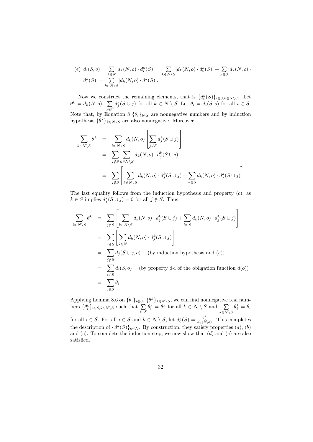$$
(e) d_i(S, o) = \sum_{k \in N} [d_k(N, o) \cdot d_i^k(S)] = \sum_{k \in N \setminus S} [d_k(N, o) \cdot d_i^k(S)] + \sum_{k \in S} [d_k(N, o) \cdot d_i^k(S)] = \sum_{k \in N \setminus S} [d_k(N, o) \cdot d_i^k(S)].
$$

Now we construct the remaining elements, that is  $\{d_i^k(S)\}_{i\in S, k\in N\setminus S}$ . Let  $\theta^k = d_k(N,o) \cdot \sum$  $j \notin S$  $d_j^k(S \cup j)$  for all  $k \in N \setminus S$ . Let  $\theta_i = d_i(S, o)$  for all  $i \in S$ .

Note that, by Equation 8  $\{\theta_i\}_{i\in S}$  are nonnegative numbers and by induction hypothesis  $\{\theta^k\}_{k \in N \setminus S}$  are also nonnegative. Moreover,

$$
\sum_{k \in N \setminus S} \theta^k = \sum_{k \in N \setminus S} d_k(N, o) \left[ \sum_{j \notin S} d_j^k(S \cup j) \right]
$$
\n
$$
= \sum_{j \notin S} \sum_{k \in N \setminus S} d_k(N, o) \cdot d_j^k(S \cup j)
$$
\n
$$
= \sum_{j \notin S} \left[ \sum_{k \in N \setminus S} d_k(N, o) \cdot d_j^k(S \cup j) + \sum_{k \in S} d_k(N, o) \cdot d_j^k(S \cup j) \right]
$$

The last equality follows from the induction hypothesis and property  $(c)$ , as  $k \in S$  implies  $d_j^k(S \cup j) = 0$  for all  $j \notin S$ . Thus

$$
\sum_{k \in N \setminus S} \theta^k = \sum_{j \notin S} \left[ \sum_{k \in N \setminus S} d_k(N, o) \cdot d_j^k(S \cup j) + \sum_{k \in S} d_k(N, o) \cdot d_j^k(S \cup j) \right]
$$
  
\n
$$
= \sum_{j \notin S} \left[ \sum_{k \in N} d_k(N, o) \cdot d_j^k(S \cup j) \right]
$$
  
\n
$$
= \sum_{j \notin S} d_j(S \cup j, o) \quad \text{(by induction hypothesis and (e))}
$$
  
\n
$$
= \sum_{i \in S} d_i(S, o) \quad \text{(by property d-i of the obligation function } d(o))
$$
  
\n
$$
= \sum_{i \in S} \theta_i
$$

Applying Lemma 8.6 on  $\{\theta_i\}_{i\in S}$ ,  $\{\theta^k\}_{k\in N\setminus S}$ , we can find nonnegative real numbers  $\{\theta_i^k\}_{i \in S, k \in N \setminus S}$  such that  $\sum_{i \in S}$  $\theta_i^k = \theta^k$  for all  $k \in N \setminus S$  and  $\sum$  $k\in N\setminus S$  $\theta_i^k = \theta_i$ for all  $i \in S$ . For all  $i \in S$  and  $k \in N \setminus S$ , let  $d_i^k(S) = \frac{\theta_i^k}{d_k(N,o)}$ . This completes the description of  $\{d^k(S)\}_{k\in\mathbb{N}}$ . By construction, they satisfy properties  $(a)$ ,  $(b)$ and  $(c)$ . To complete the induction step, we now show that  $(d)$  and  $(e)$  are also satisfied.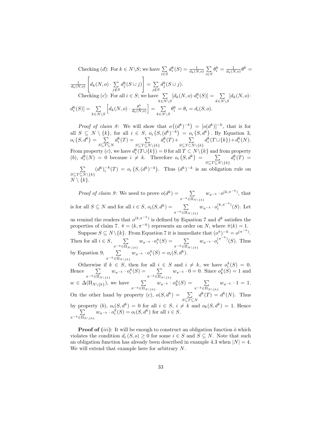Checking (d'): For  $k \in N \backslash S$ ; we have  $\Sigma$ i∈S  $d_i^k(S) = \frac{1}{d_k(N,o)} \sum_{i \in S}$ i∈S  $\theta_i^k = \frac{1}{d_k(N,o)}\theta^k =$  $\frac{1}{d_k(N,o)}$  $\sqrt{ }$  $d_k(N,o) \cdot \sum$ j /∈S  $d_j^k(S \cup j)$ 1  $=$   $\Sigma$ j /∈S  $d_j^k(S \cup j).$ Checking  $(e)$ : For all  $i \in S$ ; we have  $\sum$  $\sum_{k\in N\setminus S}[d_k(N,o)\!\cdot\!d_i^k(S)]=\sum_{k\in N^S}$  $\sum_{k\in N\setminus S}[d_k(N,o)\cdot$  $d_i^k(S)$ ] =  $\sum$  $k\in N\backslash S$  $\left[d_k(N, o) \cdot \frac{\theta_i^k}{d_k(N, o)}\right] = \sum_{\lambda \in \mathbb{N}}$  $k\in N\backslash S$  $\theta_i^k = \theta_i = d_i(S, o).$ 

*Proof of claim 8*: We will show that  $o((d^k)^{-k}) = [o(d^k)]^{-k}$ , that is for all  $S \subseteq N \setminus \{k\}$ , for all  $i \in S$ ,  $o_i(S,(d^k)^{-k}) = o_i(S,d^k)$ . By Equation 3,  $o_i\left(S,d^k\right) = \sum$  $S\subseteq T\subseteq N$  $d_i^k(T) = \sum$  $S\subseteq T\subseteq N\backslash\{k\}$  $d_i^k(T)+\sum$  $S\subseteq T\subset N\backslash\{k\}$  $d_i^k(T \cup \{k\}) + d_i^k(N).$ From property (*c*), we have  $d_i^k(T \cup \{k\}) = 0$  for all  $T \subset N \setminus \{k\}$  and from property (b),  $d_i^k(N) = 0$  because  $i \neq k$ . Therefore  $o_i(S, d^k) = \sum_{i=1}^{k} a_i^k$  $S\subseteq T\subseteq N\backslash\{k\}$  $d_i^k(T) =$  $\sum$  $S\subseteq T\subseteq N\backslash\{k\}$  $(d^k)^{-k}(T) = o_i(S, (d^k)^{-k}).$  Thus  $(d^k)^{-k}$  is an obligation rule on  $N \setminus \overline{\{k\}}$ 

*Proof of claim 9*: We need to prove  $o(d^k) = \sum$  $\pi^{-k} \in \Pi_{N\setminus\{k\}}$  $w_{\pi^{-k}} \cdot o^{(k,\pi^{-k})}$ , that is for all  $S \subseteq N$  and for all  $i \in S$ ,  $o_i(S, d^k) = \sum$  $\pi^{-k} \in \Pi_{N\setminus\{k\}}$  $w_{\pi^{-k}} \cdot o_i^{(k, \pi^{-k})}(S)$ . Let us remind the readers that  $o^{(k,\pi^{-k})}$  is defined by Equation 7 and  $d^k$  satisfies the

properties of claim 7.  $\hat{\pi} = (k, \pi^{-k})$  represents an order on N, where  $\hat{\pi}(k) = 1$ . Suppose  $S \subseteq N \setminus \{k\}$ . From Equation 7 it is immediate that  $(\rho^{\hat{\pi}})^{-k} = \rho^{(\pi^{-k})}$ . Then for all  $i \in S$ ,  $\sum$  $\pi^{-k} \in \Pi_{N\setminus\{k\}}$  $w_{\pi^{-k}} \cdot o_i^{\hat{\pi}}(S) = \sum$  $\pi^{-k} \in \Pi_{N\setminus\{k\}}$  $w_{\pi^{-k}} \cdot o_i^{(\pi^{-k})}(S)$ . Thus

by Equation 9,  $\sum$  $\pi^{-k} \in \Pi_{N\setminus\{k\}}$  $w_{\pi^{-k}} \cdot o_i^{\hat{\pi}}(S) = o_i(S, d^k).$ 

Otherwise if  $k \in S$ , then for all  $i \in S$  and  $i \neq k$ , we have  $o_i^{\hat{\pi}}(S) = 0$ . Hence  $\sum$  $\pi^{-k} \in \Pi_{N\setminus\{k\}}$  $w_{\pi^{-k}} \cdot o_i^{\hat{\pi}}(S) = \sum$  $\pi^{-k} \in \Pi_{N\setminus\{k\}}$  $w_{\pi^{-k}} \cdot 0 = 0$ . Since  $o_k^{\hat{\pi}}(S) = 1$  and  $w \in \Delta(\Pi_{N \setminus \{k\}})$ , we have  $\sum$  $\pi^{-k} \in \Pi_{N\setminus\{k\}}$  $w_{\pi^{-k}} \cdot o_k^{\hat{\pi}}(S) = \sum$  $\pi^{-k} \in \Pi_{N\setminus\{k\}}$  $w_{\pi^{-k}} \cdot 1 = 1.$ On the other hand by property  $(c)$ ,  $o(S, d^k) = \sum$  $S\subseteq T\subseteq N$  $d^k(T) = d^k(N)$ . Thus by property (b),  $o_i(S, d^k) = 0$  for all  $i \in S$ ,  $i \neq k$  and  $o_k(S, d^k)$ P  $) = 1.$  Hence  $\pi^{-k} \in \Pi_{N\setminus\{k\}}$  $w_{\pi^{-k}} \cdot o_i^{\hat{\pi}}(S) = o_i(S, d^k)$  for all  $i \in S$ .

**Proof of** (iii): It will be enough to construct an obligation function  $\hat{o}$  which violates the condition  $d_i(S, o) \geq 0$  for some  $i \in S$  and  $S \subseteq N$ . Note that such an obligation function has already been described in example 4.3 when  $|N| = 4$ . We will extend that example here for arbitrary N.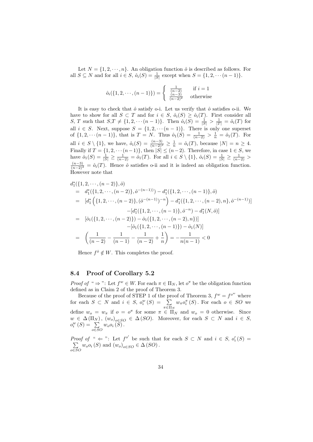Let  $N = \{1, 2, \dots, n\}$ . An obligation function  $\hat{o}$  is described as follows. For all  $S \subseteq N$  and for all  $i \in S$ ,  $\hat{o}_i(S) = \frac{1}{|S|}$  except when  $S = \{1, 2, \cdots (n-1)\}.$ 

$$
\hat{o}_i(\{1, 2, \cdots, (n-1)\}) = \begin{cases} \frac{1}{(n-2)} & \text{if } i = 1\\ \frac{(n-3)}{(n-2)^2} & \text{otherwise} \end{cases}
$$

It is easy to check that  $\hat{o}$  satisfy o-i. Let us verify that  $\hat{o}$  satisfies o-ii. We have to show for all  $S \subset T$  and for  $i \in S$ ,  $\hat{o}_i(S) \geq \hat{o}_i(T)$ . First consider all S, T such that  $S,T \neq \{1, 2, \cdots (n-1)\}.$  Then  $\hat{o}_i(S) = \frac{1}{|S|} > \frac{1}{|T|} = \hat{o}_i(T)$  for all  $i \in S$ . Next, suppose  $S = \{1, 2, \cdots (n-1)\}\$ . There is only one superset of  $\{1, 2, \dots (n-1)\}\$ , that is  $T = N$ . Thus  $\hat{o}_1(S) = \frac{1}{(n-2)} > \frac{1}{n} = \hat{o}_1(T)$ . For all  $i \in S \setminus \{1\}$ , we have,  $\hat{o}_i(S) = \frac{(n-3)}{(n-2)^2} \ge \frac{1}{n} = \hat{o}_i(T)$ , because  $|N| = n \ge 4$ . Finally if  $T = \{1, 2, \cdots (n-1)\}\$ , then  $|S| \leq (n-2)$ . Therefore, in case  $1 \in S$ , we have  $\hat{o}_1(S) = \frac{1}{|S|} \ge \frac{1}{(n-2)} = \hat{o}_1(T)$ . For all  $i \in S \setminus \{1\}$ ,  $\hat{o}_i(S) = \frac{1}{|S|} \ge \frac{1}{(n-2)} >$  $\frac{(n-3)}{(n-2)^2} = \hat{o}_i(T)$ . Hence  $\hat{o}$  satisfies o-ii and it is indeed an obligation function. However note that

$$
d_1^*(\{1, 2, \dots, (n-2)\}, \hat{o})
$$
  
=  $d_1^*(\{1, 2, \dots, (n-2)\}, \hat{o}^{-(n-1)}) - d_1^*(\{1, 2, \dots, (n-1)\}, \hat{o})$   
=  $[d_1^*\left(\{1, 2, \dots, (n-2)\}, (\hat{o}^{-(n-1)})^{-n}\right) - d_1^*(\{1, 2, \dots, (n-2), n\}, \hat{o}^{-(n-1)})]$   
 $- [d_1^*(\{1, 2, \dots, (n-1)\}, \hat{o}^{-n}) - d_1^*(N, \hat{o})]$   
=  $[\hat{o}_1(\{1, 2, \dots, (n-2)\}) - \hat{o}_1(\{1, 2, \dots, (n-2), n\})]$   
 $- [\hat{o}_1(\{1, 2, \dots, (n-1)\}) - \hat{o}_1(N)]$   
=  $\left(\frac{1}{(n-2)} - \frac{1}{(n-1)} - \frac{1}{(n-2)} + \frac{1}{n}\right) = -\frac{1}{n(n-1)} < 0$ 

Hence  $f^{\hat{\sigma}} \notin W$ . This completes the proof.

### 8.4 Proof of Corollary 5.2

*Proof of* "  $\Rightarrow$ ": Let  $f^w \in W$ . For each  $\pi \in \Pi_N$ , let  $o^{\pi}$  be the obligation function defined as in Claim 2 of the proof of Theorem 3.

Because of the proof of STEP 1 of the proof of Theorem 3,  $f^w = f^{o^w}$  where for each  $S \subset N$  and  $i \in S$ ,  $o_i^w(S) = \sum$  $\sum_{\pi \in \Pi_N} w_{\pi} o_i^{\pi}(S)$ . For each  $o \in SO$  we define  $w_o = w_\pi$  if  $o = o^\pi$  for some  $\pi \in \Pi_N$  and  $w_o = 0$  otherwise. Since  $w \in \Delta(\Pi_N)$ ,  $(w_o)_{o \in SO} \in \Delta(SO)$ . Moreover, for each  $S \subset N$  and  $i \in S$ ,  $o_i^w(S) = \sum$  $\sum_{o\in SO} w_o o_i(S)$ .

*Proof of* "  $\Leftarrow$  ": Let  $f^{\circ'}$  be such that for each  $S \subset N$  and  $i \in S$ ,  $o'_{i}(S) =$ P  $\sum_{o \in SO} w_o o_i(S)$  and  $(w_o)_{o \in SO} \in \Delta(SO)$ .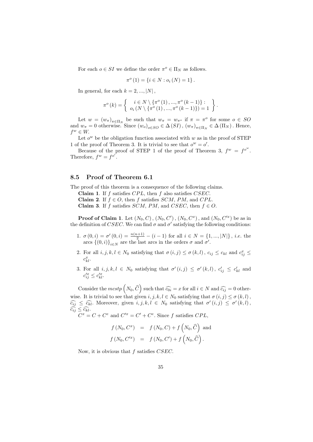For each  $o \in SI$  we define the order  $\pi^o \in \Pi_N$  as follows.

$$
\pi^{o}(1) = \{ i \in N : o_{i}(N) = 1 \}.
$$

In general, for each  $k = 2, ..., |N|$ ,

$$
\pi^o(k) = \left\{ \begin{array}{c} i \in N \setminus \{\pi^o(1), ..., \pi^o(k-1)\} : \\ o_i(N \setminus \{\pi^o(1), ..., \pi^o(k-1)\}) = 1 \end{array} \right\}.
$$

Let  $w = (w_{\pi})_{\pi \in \Pi_N}$  be such that  $w_{\pi} = w_{\pi^o}$  if  $\pi = \pi^o$  for some  $o \in SO$ and  $w_{\pi} = 0$  otherwise. Since  $(w_o)_{o \in SO} \in \Delta(SI)$ ,  $(w_{\pi})_{\pi \in \Pi_N} \in \Delta(\Pi_N)$ . Hence,  $f^w \in W$ .

Let  $o^w$  be the obligation function associated with w as in the proof of STEP 1 of the proof of Theorem 3. It is trivial to see that  $o^w = o'$ .

Because of the proof of STEP 1 of the proof of Theorem 3,  $f^w = f^{o^w}$ . Therefore,  $f^w = f^{o'}$ .

### 8.5 Proof of Theorem 6.1

The proof of this theorem is a consequence of the following claims.

Claim 1. If  $f$  satisfies  $CPL$ , then  $f$  also satisfies  $CSEC$ .

Claim 2. If  $f \in O$ , then f satisfies SCM, PM, and CPL.

Claim 3. If f satisfies SCM, PM, and CSEC, then  $f \in O$ .

**Proof of Claim 1**. Let  $(N_0, C)$ ,  $(N_0, C')$ ,  $(N_0, C^x)$ , and  $(N_0, C'^x)$  be as in the definition of CSEC. We can find  $\sigma$  and  $\sigma'$  satisfying the following conditions:

- 1.  $\sigma(0,i) = \sigma'(0,i) = \frac{n(n+1)}{2} (i-1)$  for all  $i \in N = \{1, ..., |N|\}$ , *i.e.* the arcs  $\{(0,i)\}_{i\in\mathbb{N}}$  are the last arcs in the orders  $\sigma$  and  $\sigma'$ .
- 2. For all  $i, j, k, l \in N_0$  satisfying that  $\sigma(i, j) \leq \sigma(k, l)$ ,  $c_{ij} \leq c_{kl}$  and  $c_{ij}^x \leq$  $c_{kl}^x$ .
- 3. For all  $i, j, k, l \in N_0$  satisfying that  $\sigma'(i, j) \leq \sigma'(k, l)$ ,  $c'_{ij} \leq c'_{kl}$  and  $c_{ij}^{\prime x} \leq c_{kl}^{\prime x}.$

Consider the  $mcstp\left(N_0, \hat{C}\right)$  such that  $\widehat{c_{0i}} = x$  for all  $i \in N$  and  $\widehat{c_{ij}} = 0$  otherwise. It is trivial to see that given  $i, j, k, l \in N_0$  satisfying that  $\sigma(i, j) \leq \sigma(k, l)$ ,  $\widehat{c_{ij}} \leq \widehat{c_{kl}}$ . Moreover, given  $i, j, k, l \in N_0$  satisfying that  $\sigma'(i,j) \leq \sigma'(k,l)$ ,  $\widehat{c_{ij}} \leq \widehat{c_{kl}}.$ <br>  $C^x = C + C^e$  and  $C'^x = C' + C^e$ . Since f satisfies  $CPL$ ,

$$
f(N_0, C^x) = f(N_0, C) + f(N_0, \widehat{C})
$$
 and  

$$
f(N_0, C'^x) = f(N_0, C') + f(N_0, \widehat{C}).
$$

Now, it is obvious that f satisfies CSEC.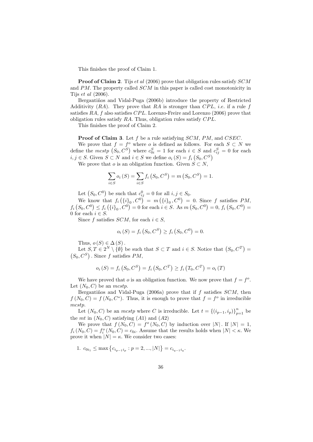This finishes the proof of Claim 1.

**Proof of Claim 2.** Tijs et al (2006) prove that obligation rules satisfy SCM and PM. The property called SCM in this paper is called cost monotonicity in Tijs et al (2006).

Bergantiños and Vidal-Puga (2006b) introduce the property of Restricted Additivity  $(RA)$ . They prove that RA is stronger than CPL, *i.e.* if a rule f satisfies RA, f also satisfies CPL. Lorenzo-Freire and Lorenzo (2006) prove that obligation rules satisfy  $RA$ . Thus, obligation rules satisfy  $CPL$ .

This finishes the proof of Claim 2.

**Proof of Claim 3.** Let f be a rule satisfying SCM, PM, and CSEC.

We prove that  $f = f^o$  where o is defined as follows. For each  $S \subset N$  we define the mcstp  $(S_0, C^S)$  where  $c_{0i}^S = 1$  for each  $i \in S$  and  $c_{ij}^S = 0$  for each  $i, j \in S$ . Given  $S \subset N$  and  $i \in S$  we define  $o_i(S) = f_i(S_0, C^S)$ 

We prove that o is an obligation function. Given  $S \subset N$ ,

$$
\sum_{i \in S} o_i(S) = \sum_{i \in S} f_i(S_0, C^S) = m(S_0, C^S) = 1.
$$

Let  $(S_0, C^0)$  be such that  $c_{ij}^0 = 0$  for all  $i, j \in S_0$ .

We know that  $f_i\left(\{i\}_0, C^0\right) = m\left(\{i\}_0, C^0\right) = 0$ . Since f satisfies PM,  $f_i(S_0, C^0) \le f_i(\{i\}_0, C^0) = 0$  for each  $i \in S$ . As  $m(S_0, C^0) = 0$ ,  $f_i(S_0, C^0) =$ 0 for each  $i \in S$ .

Since f satisfies SCM, for each  $i \in S$ ,

$$
o_i(S) = f_i(S_0, C^S) \ge f_i(S_0, C^0) = 0.
$$

Thus,  $o(S) \in \Delta(S)$ .

Let  $S, T \in 2^N \setminus \{\emptyset\}$  be such that  $S \subset T$  and  $i \in S$ . Notice that  $(S_0, C^T) =$  $(S_0, C^S)$ . Since f satisfies PM,

$$
o_i(S) = f_i(S_0, C^S) = f_i(S_0, C^T) \ge f_i(T_0, C^T) = o_i(T)
$$

We have proved that *o* is an obligation function. We now prove that  $f = f^o$ . Let  $(N_0, C)$  be an *mcstp*.

Bergantiños and Vidal-Puga (2006a) prove that if  $f$  satisfies  $SCM$ , then  $f(N_0, C) = f(N_0, C^*)$ . Thus, it is enough to prove that  $f = f^o$  in irreducible mcstp.

Let  $(N_0, C)$  be an *mcstp* where C is irreducible. Let  $t = \{(i_{p-1}, i_p)\}_{p=1}^n$  be the mt in  $(N_0, C)$  satisfying  $(A1)$  and  $(A2)$ 

We prove that  $f(N_0, C) = f^{\circ}(N_0, C)$  by induction over |N|. If  $|N| = 1$ ,  $f_i(N_0, C) = f_i^o(N_0, C) = c_{0i}$ . Assume that the results holds when  $|N| < \kappa$ . We prove it when  $|N| = \kappa$ . We consider two cases:

1.  $c_{0i_1} \le \max\left\{c_{i_{p-1}i_p} : p = 2, ..., |N|\right\} = c_{i_{q-1}i_q}.$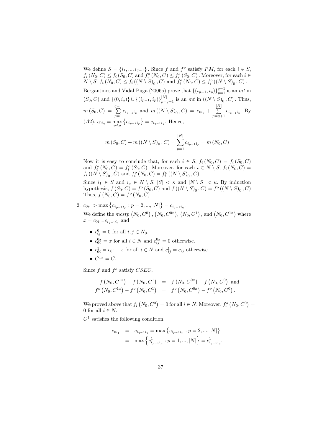We define  $S = \{i_1, ..., i_{q-1}\}\.$  Since f and  $f^o$  satisfy PM, for each  $i \in S$ ,  $f_i(N_0, C) \le f_i(S_0, C)$  and  $f_i^o(N_0, C) \le f_i^o(S_0, C)$ . Moreover, for each  $i \in$  $N \setminus S$ ,  $f_i(N_0, C) \leq f_i((N \setminus S)_0, C)$  and  $f_i^o(N_0, C) \leq f_i^o((N \setminus S)_0, C)$ .

Bergantiños and Vidal-Puga (2006a) prove that  $\{(i_{p-1}, i_p)\}_{p=1}^{q-1}$  is an mt in  $(S_0, C)$  and  $\{(0, i_q)\} \cup \{(i_{p-1}, i_p)\}_{p=q+1}^{|N|}$  is an  $m$ t in  $((N \setminus S)_0, C)$ . Thus,  $m(S_0, C) = \sum_{q=1}^{q-1}$  $\sum_{p=1} c_{i_{p-1}i_p}$  and  $m((N \setminus S)_0, C) = c_{0i_q} +$  $\frac{|N|}{\sum}$  $\sum_{p=q+1} c_{i_{p-1}i_p}$ . By (A2),  $c_{0i_q} = \max_{p \leq q} \{c_{i_{p-1}i_p}\} = c_{i_{q-1}i_q}$ . Hence,

$$
m(S_0, C) + m((N \setminus S)_0, C) = \sum_{p=1}^{|N|} c_{i_{p-1}i_p} = m(N_0, C)
$$

Now it is easy to conclude that, for each  $i \in S$ ,  $f_i(N_0, C) = f_i(S_0, C)$ and  $f_i^o(N_0, C) = f_i^o(S_0, C)$ . Moreover, for each  $i \in N \setminus S$ ,  $f_i(N_0, C) =$  $f_i((N \setminus S)_0, C)$  and  $f_i^o(N_0, C) = f_i^o((N \setminus S)_0, C)$ .

Since  $i_1 \in S$  and  $i_q \in N \setminus S$ ,  $|S| < \kappa$  and  $|N \setminus S| < \kappa$ . By induction hypothesis,  $f(S_0, C) = f^o(S_0, C)$  and  $f((N \setminus S)_0, C) = f^o((N \setminus S)_0, C)$ Thus,  $f(N_0, C) = f^o(N_0, C)$ .

2.  $c_{0i_1} > \max\left\{c_{i_{p-1}i_p} : p = 2, ..., |N|\right\} = c_{i_{q-1}i_q}.$ 

We define the  $mcstp(N_0, C^0), (N_0, C^{0x}), (N_0, C^1),$  and  $(N_0, C^{1x})$  where  $x = c_{0i_1} - c_{i_{q-1}i_q}$  and

- $c_{ij}^0 = 0$  for all  $i, j \in N_0$ .
- $c_{0i}^{0x} = x$  for all  $i \in N$  and  $c_{ij}^{0x} = 0$  otherwise.
- $c_{0i}^1 = c_{0i} x$  for all  $i \in N$  and  $c_{ij}^1 = c_{ij}$  otherwise.
- $\bullet \; C^{1x}=C.$

Since  $f$  and  $f^o$  satisfy  $CSEC$ ,

$$
f(N_0, C^{1x}) - f(N_0, C^1) = f(N_0, C^{0x}) - f(N_0, C^0) \text{ and}
$$
  

$$
f^o(N_0, C^{1x}) - f^o(N_0, C^1) = f^o(N_0, C^{0x}) - f^o(N_0, C^0).
$$

We proved above that  $f_i(N_0, C^0) = 0$  for all  $i \in N$ . Moreover,  $f_i^o(N_0, C^0) =$ 0 for all  $i \in N$ .

 $C<sup>1</sup>$  satisfies the following condition,

$$
c_{0i_1}^1 = c_{i_{q-1}i_q} = \max\left\{c_{i_{p-1}i_p} : p = 2, ..., |N|\right\}
$$
  
=  $\max\left\{c_{i_{p-1}i_p}^1 : p = 1, ..., |N|\right\} = c_{i_{q-1}i_q}^1$ .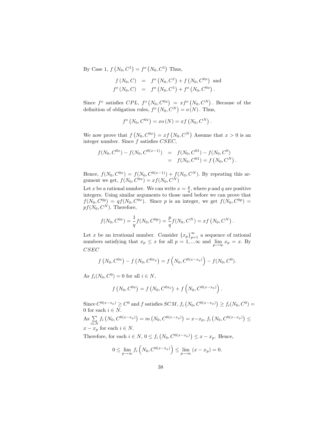By Case 1,  $f(N_0, C^1) = f^o(N_0, C^1)$  Thus,

$$
f(N_0, C) = f^o(N_0, C^1) + f(N_0, C^{0x}) \text{ and}
$$
  

$$
f^o(N_0, C) = f^o(N_0, C^1) + f^o(N_0, C^{0x}).
$$

Since  $f^o$  satisfies  $CPL$ ,  $f^o(N_0, C^{0x}) = xf^o(N_0, C^N)$ . Because of the definition of obligation rules,  $f^o(N_0, C^N) = o(N)$ . Thus,

$$
f^{o}(N_0, C^{0x}) = xo(N) = xf(N_0, C^N).
$$

We now prove that  $f(N_0, C^{0x}) = xf(N_0, C^N)$  Assume that  $x > 0$  is an integer number. Since  $f$  satisfies  $CSEC$ .

$$
f(N_0, C^{0x}) - f(N_0, C^{0(x-1)}) = f(N_0, C^{01}) - f(N_0, C^0)
$$
  
=  $f(N_0, C^{01}) = f(N_0, C^N)$ .

Hence,  $f(N_0, C^{0x}) = f(N_0, C^{0(x-1)}) + f(N_0, C^N)$ . By repeating this argument we get,  $f(N_0, C^{0x}) = xf(N_0, C^N)$ 

Let x be a rational number. We can write  $x = \frac{p}{q}$ , where p and q are positive integers. Using similar arguments to those used before we can prove that  $f(N_0, C^{0p}) = qf(N_0, C^{0x})$ . Since p is an integer, we get  $f(N_0, C^{0p}) =$  $p f(N_0, C^N)$ . Therefore,

$$
f(N_0, C^{0x}) = \frac{1}{q} f(N_0, C^{0p}) = \frac{p}{q} f(N_0, C^N) = x f(N_0, C^N).
$$

Let x be an irrational number. Consider  $\{x_p\}_{p=1}^{\infty}$  a sequence of rational numbers satisfying that  $x_p \leq x$  for all  $p = 1, ... \infty$  and  $\lim_{p \to \infty} x_p = x$ . By CSEC

$$
f(N_0, C^{0x}) - f(N_0, C^{0x_p}) = f(N_0, C^{0(x-x_p)}) - f(N_0, C^0).
$$

As  $f_i(N_0, C^0) = 0$  for all  $i \in N$ ,

$$
f(N_0, C^{0x}) = f(N_0, C^{0x_p}) + f(N_0, C^{0(x-x_p)})
$$
.

Since  $C^{0(x-x_p)} \ge C^0$  and f satisfies  $SCM$ ,  $f_i(N_0, C^{0(x-x_p)}) \ge f_i(N_0, C^0) =$ 0 for each  $i\in N.$ 

As  $\Sigma$  $\sum_{i\in N} f_i\left(N_0, C^{0(x-x_p)}\right) = m\left(N_0, C^{0(x-x_p)}\right) = x-x_p, f_i\left(N_0, C^{0(x-x_p)}\right) \le$  $x - x_p$  for each  $i \in N$ .

Therefore, for each  $i \in N$ ,  $0 \le f_i(N_0, C^{0(x-x_p)}) \le x - x_p$ . Hence,

$$
0 \le \lim_{p \to \infty} f_i \left( N_0, C^{0(x - x_p)} \right) \le \lim_{p \to \infty} (x - x_p) = 0.
$$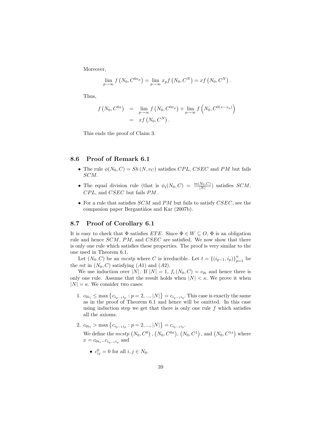Moreover,

$$
\lim_{p \to \infty} f\left(N_0, C^{0x_p}\right) = \lim_{p \to \infty} x_p f\left(N_0, C^N\right) = x f\left(N_0, C^N\right).
$$

Thus,

$$
f(N_0, C^{0x}) = \lim_{p \to \infty} f(N_0, C^{0x_p}) + \lim_{p \to \infty} f(N_0, C^{0(x-x_p)})
$$
  
=  $xf(N_0, C^N)$ .

This ends the proof of Claim 3.

### 8.6 Proof of Remark 6.1

- The rule  $\phi(N_0, C) = Sh(N, v_C)$  satisfies CPL, CSEC and PM but fails SCM.
- The equal division rule (that is  $\phi_i(N_0, C) = \frac{m(N_0, C)}{|N|}$ ) satisfies SCM,  $CPL$ , and  $CSEC$  but fails  $PM$ .
- For a rule that satisfies  $SCM$  and PM but fails to satisfy  $CSEC$ , see the companion paper Bergantiños and Kar (2007b).

#### 8.7 Proof of Corollary 6.1

It is easy to check that  $\Phi$  satisfies  $ETE$ . Since  $\Phi \in W \subseteq O$ ,  $\Phi$  is an obligation rule and hence SCM, PM, and CSEC are satisfied. We now show that there is only one rule which satisfies these properties. The proof is very similar to the one used in Theorem 6.1.

Let  $(N_0, C)$  be an *mcstp* where C is irreducible. Let  $t = \{(i_{p-1}, i_p)\}_{p=1}^n$  be the mt in  $(N_0, C)$  satisfying  $(A1)$  and  $(A2)$ .

We use induction over |N|. If  $|N| = 1$ ,  $f_i(N_0, C) = c_{0i}$  and hence there is only one rule. Assume that the result holds when  $|N| < \kappa$ . We prove it when  $|N| = \kappa$ . We consider two cases:

- 1.  $c_{0i_1} \le \max\left\{c_{i_{p-1}i_p} : p = 2, ..., |N|\right\} = c_{i_{q-1}i_q}$ . This case is exactly the same as in the proof of Theorem 6.1 and hence will be omitted. In this case using induction step we get that there is only one rule  $f$  which satisfies all the axioms.
- 2.  $c_{0i_1} > \max\left\{c_{i_{p-1}i_p} : p = 2, ..., |N|\right\} = c_{i_{q-1}i_q}.$ We define the  $mcstp(N_0, C^0), (N_0, C^{0x}), (N_0, C^1),$  and  $(N_0, C^{1x})$  where  $x = c_{0i_1} - c_{i_{q-1}i_q}$  and
	- $c_{ij}^0 = 0$  for all  $i, j \in N_0$ .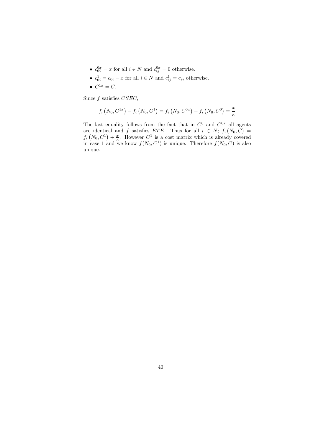- $c_{0i}^{0x} = x$  for all  $i \in N$  and  $c_{ij}^{0x} = 0$  otherwise.
- $c_{0i}^1 = c_{0i} x$  for all  $i \in N$  and  $c_{ij}^1 = c_{ij}$  otherwise.
- $C^{1x} = C$ .

Since  $f$  satisfies  $CSEC$ ,

$$
f_i(N_0, C^{1x}) - f_i(N_0, C^1) = f_i(N_0, C^{0x}) - f_i(N_0, C^0) = \frac{x}{\kappa}
$$

The last equality follows from the fact that in  $C^0$  and  $C^{0x}$  all agents are identical and f satisfies ETE. Thus for all  $i \in N$ ;  $f_i(N_0, C)$  $f_i(N_0, C^1) + \frac{x}{\kappa}$ . However  $C^1$  is a cost matrix which is already covered in case 1 and we know  $f(N_0, C^1)$  is unique. Therefore  $f(N_0, C)$  is also unique.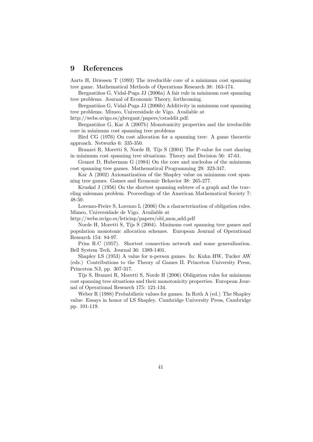# 9 References

Aarts H, Driessen T (1993) The irreducible core of a minimum cost spanning tree game. Mathematical Methods of Operations Research 38: 163-174.

Bergantiños G, Vidal-Puga JJ (2006a) A fair rule in minimum cost spanning tree problems. Journal of Economic Theory, forthcoming.

Bergantiños G, Vidal-Puga JJ (2006b) Additivity in minimum cost spanning tree problems. Mimeo, Universidade de Vigo. Available at

http://webs.uvigo.es/gbergant/papers/cstaddit.pdf.

Bergantiños G, Kar A (2007b) Monotonicity properties and the irreducible core in minimum cost spanning tree problems

Bird CG (1976) On cost allocation for a spanning tree: A game theoretic approach. Networks 6: 335-350.

Branzei R, Moretti S, Norde H, Tijs S (2004) The P-value for cost sharing in minimum cost spanning tree situations. Theory and Decision 56: 47-61.

Granot D, Huberman G (1984) On the core and nucleolus of the minimum cost spanning tree games. Mathematical Programming 29: 323-347.

Kar A (2002) Axiomatization of the Shapley value on minimum cost spanning tree games. Games and Economic Behavior 38: 265-277.

Kruskal J (1956) On the shortest spanning subtree of a graph and the traveling salesman problem. Proceedings of the American Mathematical Society 7: 48-50.

Lorenzo-Freire S, Lorenzo L (2006) On a characterization of obligation rules. Mimeo, Universidade de Vigo. Available at

http://webs.uvigo.es/leticiap/papers/obl mon add.pdf

Norde H, Moretti S, Tijs S (2004). Minimum cost spanning tree games and population monotonic allocation schemes. European Journal of Operational Research 154: 84-97.

Prim R.C (1957). Shortest connection network and some generalization. Bell System Tech. Journal 36: 1389-1401.

Shapley LS (1953) A value for n-person games. In: Kuhn HW, Tucker AW (eds.) Contributions to the Theory of Games II. Princeton University Press, Princeton NJ, pp. 307-317.

Tijs S, Branzei R, Moretti S, Norde H (2006) Obligation rules for minimum cost spanning tree situations and their monotonicity properties. European Journal of Operational Research 175: 121-134.

Weber R (1988) Probabilistic values for games. In Roth A (ed.) The Shapley value: Essays in honor of LS Shapley. Cambridge University Press, Cambridge pp. 101-119.